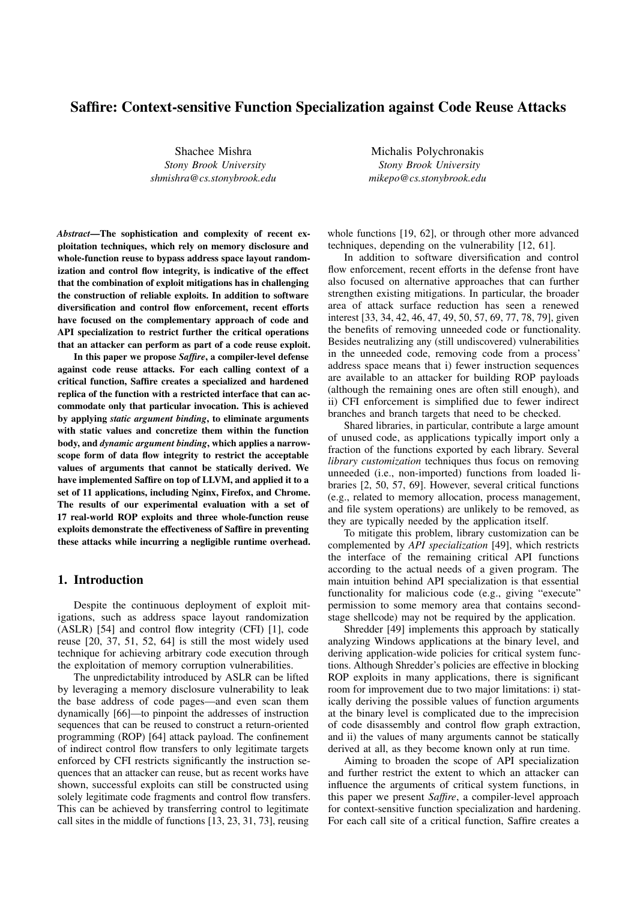# Saffire: Context-sensitive Function Specialization against Code Reuse Attacks

Shachee Mishra *Stony Brook University shmishra@cs.stonybrook.edu*

*Abstract*—The sophistication and complexity of recent exploitation techniques, which rely on memory disclosure and whole-function reuse to bypass address space layout randomization and control flow integrity, is indicative of the effect that the combination of exploit mitigations has in challenging the construction of reliable exploits. In addition to software diversification and control flow enforcement, recent efforts have focused on the complementary approach of code and API specialization to restrict further the critical operations that an attacker can perform as part of a code reuse exploit.

In this paper we propose *Saffire*, a compiler-level defense against code reuse attacks. For each calling context of a critical function, Saffire creates a specialized and hardened replica of the function with a restricted interface that can accommodate only that particular invocation. This is achieved by applying *static argument binding*, to eliminate arguments with static values and concretize them within the function body, and *dynamic argument binding*, which applies a narrowscope form of data flow integrity to restrict the acceptable values of arguments that cannot be statically derived. We have implemented Saffire on top of LLVM, and applied it to a set of 11 applications, including Nginx, Firefox, and Chrome. The results of our experimental evaluation with a set of 17 real-world ROP exploits and three whole-function reuse exploits demonstrate the effectiveness of Saffire in preventing these attacks while incurring a negligible runtime overhead.

# 1. Introduction

Despite the continuous deployment of exploit mitigations, such as address space layout randomization (ASLR) [\[54\]](#page-15-0) and control flow integrity (CFI) [\[1\]](#page-13-0), code reuse [\[20,](#page-14-0) [37,](#page-14-1) [51,](#page-15-1) [52,](#page-15-2) [64\]](#page-15-3) is still the most widely used technique for achieving arbitrary code execution through the exploitation of memory corruption vulnerabilities.

The unpredictability introduced by ASLR can be lifted by leveraging a memory disclosure vulnerability to leak the base address of code pages—and even scan them dynamically [\[66\]](#page-15-4)—to pinpoint the addresses of instruction sequences that can be reused to construct a return-oriented programming (ROP) [\[64\]](#page-15-3) attack payload. The confinement of indirect control flow transfers to only legitimate targets enforced by CFI restricts significantly the instruction sequences that an attacker can reuse, but as recent works have shown, successful exploits can still be constructed using solely legitimate code fragments and control flow transfers. This can be achieved by transferring control to legitimate call sites in the middle of functions [\[13,](#page-14-2) [23,](#page-14-3) [31,](#page-14-4) [73\]](#page-15-5), reusing

Michalis Polychronakis *Stony Brook University mikepo@cs.stonybrook.edu*

whole functions [\[19,](#page-14-5) [62\]](#page-15-6), or through other more advanced techniques, depending on the vulnerability [\[12,](#page-14-6) [61\]](#page-15-7).

In addition to software diversification and control flow enforcement, recent efforts in the defense front have also focused on alternative approaches that can further strengthen existing mitigations. In particular, the broader area of attack surface reduction has seen a renewed interest [\[33,](#page-14-7) [34,](#page-14-8) [42,](#page-14-9) [46,](#page-15-8) [47,](#page-15-9) [49,](#page-15-10) [50,](#page-15-11) [57,](#page-15-12) [69,](#page-15-13) [77,](#page-15-14) [78,](#page-15-15) [79\]](#page-15-16), given the benefits of removing unneeded code or functionality. Besides neutralizing any (still undiscovered) vulnerabilities in the unneeded code, removing code from a process' address space means that i) fewer instruction sequences are available to an attacker for building ROP payloads (although the remaining ones are often still enough), and ii) CFI enforcement is simplified due to fewer indirect branches and branch targets that need to be checked.

Shared libraries, in particular, contribute a large amount of unused code, as applications typically import only a fraction of the functions exported by each library. Several *library customization* techniques thus focus on removing unneeded (i.e., non-imported) functions from loaded libraries [\[2,](#page-13-1) [50,](#page-15-11) [57,](#page-15-12) [69\]](#page-15-13). However, several critical functions (e.g., related to memory allocation, process management, and file system operations) are unlikely to be removed, as they are typically needed by the application itself.

To mitigate this problem, library customization can be complemented by *API specialization* [\[49\]](#page-15-10), which restricts the interface of the remaining critical API functions according to the actual needs of a given program. The main intuition behind API specialization is that essential functionality for malicious code (e.g., giving "execute" permission to some memory area that contains secondstage shellcode) may not be required by the application.

Shredder [\[49\]](#page-15-10) implements this approach by statically analyzing Windows applications at the binary level, and deriving application-wide policies for critical system functions. Although Shredder's policies are effective in blocking ROP exploits in many applications, there is significant room for improvement due to two major limitations: i) statically deriving the possible values of function arguments at the binary level is complicated due to the imprecision of code disassembly and control flow graph extraction, and ii) the values of many arguments cannot be statically derived at all, as they become known only at run time.

Aiming to broaden the scope of API specialization and further restrict the extent to which an attacker can influence the arguments of critical system functions, in this paper we present *Saffire*, a compiler-level approach for context-sensitive function specialization and hardening. For each call site of a critical function, Saffire creates a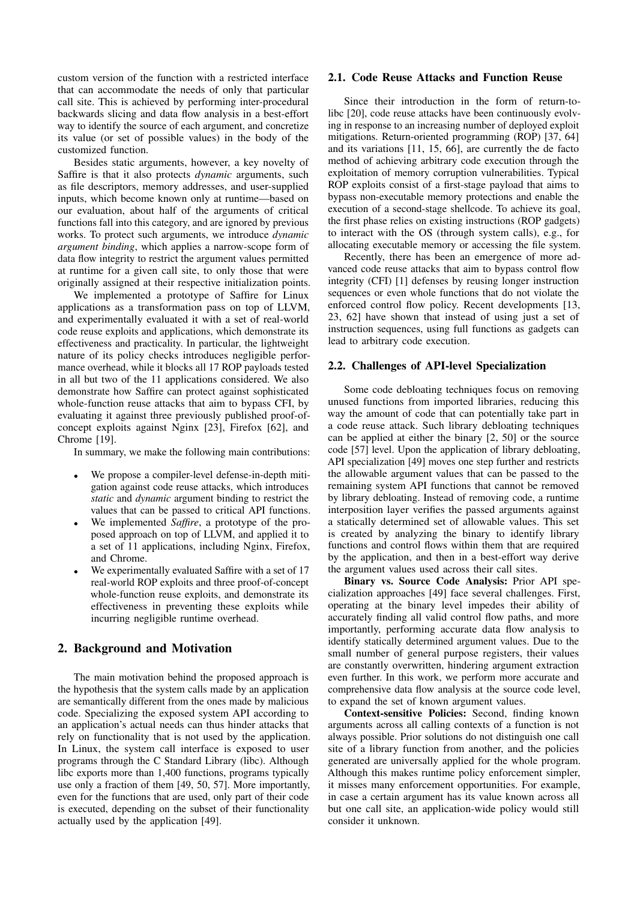custom version of the function with a restricted interface that can accommodate the needs of only that particular call site. This is achieved by performing inter-procedural backwards slicing and data flow analysis in a best-effort way to identify the source of each argument, and concretize its value (or set of possible values) in the body of the customized function.

Besides static arguments, however, a key novelty of Saffire is that it also protects *dynamic* arguments, such as file descriptors, memory addresses, and user-supplied inputs, which become known only at runtime—based on our evaluation, about half of the arguments of critical functions fall into this category, and are ignored by previous works. To protect such arguments, we introduce *dynamic argument binding*, which applies a narrow-scope form of data flow integrity to restrict the argument values permitted at runtime for a given call site, to only those that were originally assigned at their respective initialization points.

We implemented a prototype of Saffire for Linux applications as a transformation pass on top of LLVM, and experimentally evaluated it with a set of real-world code reuse exploits and applications, which demonstrate its effectiveness and practicality. In particular, the lightweight nature of its policy checks introduces negligible performance overhead, while it blocks all 17 ROP payloads tested in all but two of the 11 applications considered. We also demonstrate how Saffire can protect against sophisticated whole-function reuse attacks that aim to bypass CFI, by evaluating it against three previously published proof-ofconcept exploits against Nginx [\[23\]](#page-14-3), Firefox [\[62\]](#page-15-6), and Chrome [\[19\]](#page-14-5).

In summary, we make the following main contributions:

- We propose a compiler-level defense-in-depth mitigation against code reuse attacks, which introduces *static* and *dynamic* argument binding to restrict the values that can be passed to critical API functions.
- We implemented *Saffire*, a prototype of the proposed approach on top of LLVM, and applied it to a set of 11 applications, including Nginx, Firefox, and Chrome.
- We experimentally evaluated Saffire with a set of 17 real-world ROP exploits and three proof-of-concept whole-function reuse exploits, and demonstrate its effectiveness in preventing these exploits while incurring negligible runtime overhead.

## 2. Background and Motivation

The main motivation behind the proposed approach is the hypothesis that the system calls made by an application are semantically different from the ones made by malicious code. Specializing the exposed system API according to an application's actual needs can thus hinder attacks that rely on functionality that is not used by the application. In Linux, the system call interface is exposed to user programs through the C Standard Library (libc). Although libc exports more than 1,400 functions, programs typically use only a fraction of them [\[49,](#page-15-10) [50,](#page-15-11) [57\]](#page-15-12). More importantly, even for the functions that are used, only part of their code is executed, depending on the subset of their functionality actually used by the application [\[49\]](#page-15-10).

#### 2.1. Code Reuse Attacks and Function Reuse

Since their introduction in the form of return-tolibc [\[20\]](#page-14-0), code reuse attacks have been continuously evolving in response to an increasing number of deployed exploit mitigations. Return-oriented programming (ROP) [\[37,](#page-14-1) [64\]](#page-15-3) and its variations [\[11,](#page-14-10) [15,](#page-14-11) [66\]](#page-15-4), are currently the de facto method of achieving arbitrary code execution through the exploitation of memory corruption vulnerabilities. Typical ROP exploits consist of a first-stage payload that aims to bypass non-executable memory protections and enable the execution of a second-stage shellcode. To achieve its goal, the first phase relies on existing instructions (ROP gadgets) to interact with the OS (through system calls), e.g., for allocating executable memory or accessing the file system.

Recently, there has been an emergence of more advanced code reuse attacks that aim to bypass control flow integrity (CFI) [\[1\]](#page-13-0) defenses by reusing longer instruction sequences or even whole functions that do not violate the enforced control flow policy. Recent developments [\[13,](#page-14-2) [23,](#page-14-3) [62\]](#page-15-6) have shown that instead of using just a set of instruction sequences, using full functions as gadgets can lead to arbitrary code execution.

#### 2.2. Challenges of API-level Specialization

Some code debloating techniques focus on removing unused functions from imported libraries, reducing this way the amount of code that can potentially take part in a code reuse attack. Such library debloating techniques can be applied at either the binary [\[2,](#page-13-1) [50\]](#page-15-11) or the source code [\[57\]](#page-15-12) level. Upon the application of library debloating, API specialization [\[49\]](#page-15-10) moves one step further and restricts the allowable argument values that can be passed to the remaining system API functions that cannot be removed by library debloating. Instead of removing code, a runtime interposition layer verifies the passed arguments against a statically determined set of allowable values. This set is created by analyzing the binary to identify library functions and control flows within them that are required by the application, and then in a best-effort way derive the argument values used across their call sites.

Binary vs. Source Code Analysis: Prior API specialization approaches [\[49\]](#page-15-10) face several challenges. First, operating at the binary level impedes their ability of accurately finding all valid control flow paths, and more importantly, performing accurate data flow analysis to identify statically determined argument values. Due to the small number of general purpose registers, their values are constantly overwritten, hindering argument extraction even further. In this work, we perform more accurate and comprehensive data flow analysis at the source code level, to expand the set of known argument values.

Context-sensitive Policies: Second, finding known arguments across all calling contexts of a function is not always possible. Prior solutions do not distinguish one call site of a library function from another, and the policies generated are universally applied for the whole program. Although this makes runtime policy enforcement simpler, it misses many enforcement opportunities. For example, in case a certain argument has its value known across all but one call site, an application-wide policy would still consider it unknown.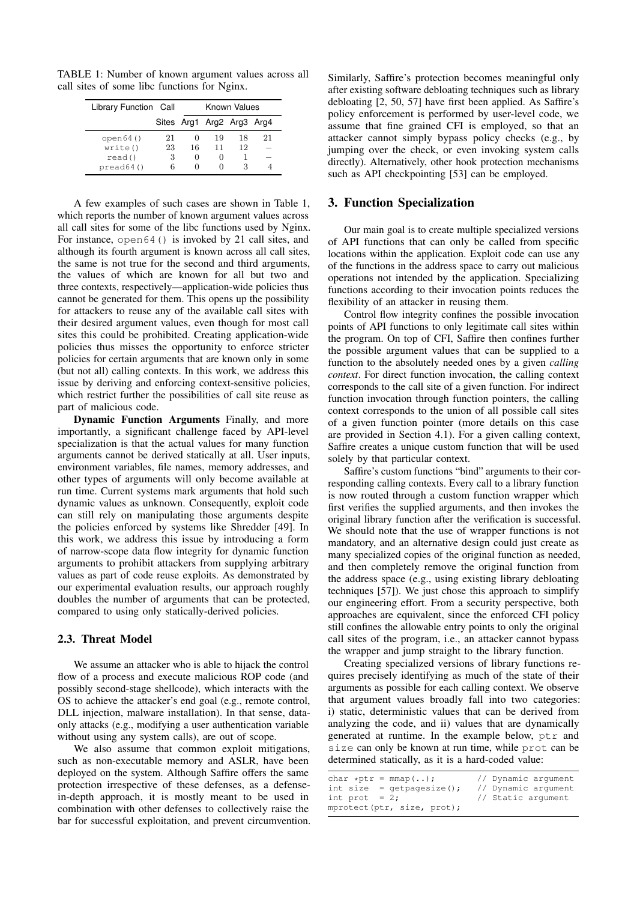<span id="page-2-0"></span>TABLE 1: Number of known argument values across all call sites of some libc functions for Nginx.

| Library Function Call         | Known Values  |                   |                           |          |    |
|-------------------------------|---------------|-------------------|---------------------------|----------|----|
|                               |               |                   | Sites Arg1 Arg2 Arg3 Arg4 |          |    |
| open64()<br>write()<br>read() | 21<br>23<br>3 | 16<br>0           | 19<br>11<br>$\mathbf{0}$  | 18<br>12 | 21 |
| pred64()                      | б             | $\mathbf{\Omega}$ |                           |          |    |

A few examples of such cases are shown in Table [1,](#page-2-0) which reports the number of known argument values across all call sites for some of the libc functions used by Nginx. For instance, open64() is invoked by 21 call sites, and although its fourth argument is known across all call sites, the same is not true for the second and third arguments, the values of which are known for all but two and three contexts, respectively—application-wide policies thus cannot be generated for them. This opens up the possibility for attackers to reuse any of the available call sites with their desired argument values, even though for most call sites this could be prohibited. Creating application-wide policies thus misses the opportunity to enforce stricter policies for certain arguments that are known only in some (but not all) calling contexts. In this work, we address this issue by deriving and enforcing context-sensitive policies, which restrict further the possibilities of call site reuse as part of malicious code.

Dynamic Function Arguments Finally, and more importantly, a significant challenge faced by API-level specialization is that the actual values for many function arguments cannot be derived statically at all. User inputs, environment variables, file names, memory addresses, and other types of arguments will only become available at run time. Current systems mark arguments that hold such dynamic values as unknown. Consequently, exploit code can still rely on manipulating those arguments despite the policies enforced by systems like Shredder [\[49\]](#page-15-10). In this work, we address this issue by introducing a form of narrow-scope data flow integrity for dynamic function arguments to prohibit attackers from supplying arbitrary values as part of code reuse exploits. As demonstrated by our experimental evaluation results, our approach roughly doubles the number of arguments that can be protected, compared to using only statically-derived policies.

#### 2.3. Threat Model

We assume an attacker who is able to hijack the control flow of a process and execute malicious ROP code (and possibly second-stage shellcode), which interacts with the OS to achieve the attacker's end goal (e.g., remote control, DLL injection, malware installation). In that sense, dataonly attacks (e.g., modifying a user authentication variable without using any system calls), are out of scope.

We also assume that common exploit mitigations, such as non-executable memory and ASLR, have been deployed on the system. Although Saffire offers the same protection irrespective of these defenses, as a defensein-depth approach, it is mostly meant to be used in combination with other defenses to collectively raise the bar for successful exploitation, and prevent circumvention.

Similarly, Saffire's protection becomes meaningful only after existing software debloating techniques such as library debloating [\[2,](#page-13-1) [50,](#page-15-11) [57\]](#page-15-12) have first been applied. As Saffire's policy enforcement is performed by user-level code, we assume that fine grained CFI is employed, so that an attacker cannot simply bypass policy checks (e.g., by jumping over the check, or even invoking system calls directly). Alternatively, other hook protection mechanisms such as API checkpointing [\[53\]](#page-15-17) can be employed.

#### 3. Function Specialization

Our main goal is to create multiple specialized versions of API functions that can only be called from specific locations within the application. Exploit code can use any of the functions in the address space to carry out malicious operations not intended by the application. Specializing functions according to their invocation points reduces the flexibility of an attacker in reusing them.

Control flow integrity confines the possible invocation points of API functions to only legitimate call sites within the program. On top of CFI, Saffire then confines further the possible argument values that can be supplied to a function to the absolutely needed ones by a given *calling context*. For direct function invocation, the calling context corresponds to the call site of a given function. For indirect function invocation through function pointers, the calling context corresponds to the union of all possible call sites of a given function pointer (more details on this case are provided in Section [4.1\)](#page-5-0). For a given calling context, Saffire creates a unique custom function that will be used solely by that particular context.

Saffire's custom functions "bind" arguments to their corresponding calling contexts. Every call to a library function is now routed through a custom function wrapper which first verifies the supplied arguments, and then invokes the original library function after the verification is successful. We should note that the use of wrapper functions is not mandatory, and an alternative design could just create as many specialized copies of the original function as needed, and then completely remove the original function from the address space (e.g., using existing library debloating techniques [\[57\]](#page-15-12)). We just chose this approach to simplify our engineering effort. From a security perspective, both approaches are equivalent, since the enforced CFI policy still confines the allowable entry points to only the original call sites of the program, i.e., an attacker cannot bypass the wrapper and jump straight to the library function.

Creating specialized versions of library functions requires precisely identifying as much of the state of their arguments as possible for each calling context. We observe that argument values broadly fall into two categories: i) static, deterministic values that can be derived from analyzing the code, and ii) values that are dynamically generated at runtime. In the example below, ptr and size can only be known at run time, while prot can be determined statically, as it is a hard-coded value:

|                  | char *ptr = $mmap()$ ;       | // Dynamic arqument |
|------------------|------------------------------|---------------------|
|                  | int size = $qetpaqesize()$ ; | // Dynamic arqument |
| int prot = $2$ ; |                              | // Static argument  |
|                  | mprotect(ptr, size, prot);   |                     |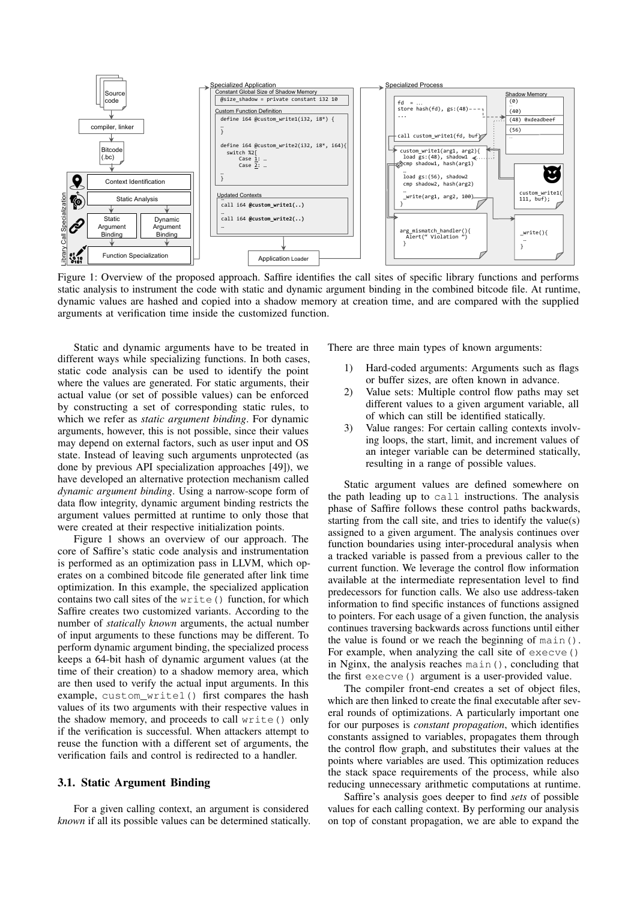<span id="page-3-0"></span>

Figure 1: Overview of the proposed approach. Saffire identifies the call sites of specific library functions and performs static analysis to instrument the code with static and dynamic argument binding in the combined bitcode file. At runtime, dynamic values are hashed and copied into a shadow memory at creation time, and are compared with the supplied arguments at verification time inside the customized function.

Static and dynamic arguments have to be treated in different ways while specializing functions. In both cases, static code analysis can be used to identify the point where the values are generated. For static arguments, their actual value (or set of possible values) can be enforced by constructing a set of corresponding static rules, to which we refer as *static argument binding*. For dynamic arguments, however, this is not possible, since their values may depend on external factors, such as user input and OS state. Instead of leaving such arguments unprotected (as done by previous API specialization approaches [\[49\]](#page-15-10)), we have developed an alternative protection mechanism called *dynamic argument binding*. Using a narrow-scope form of data flow integrity, dynamic argument binding restricts the argument values permitted at runtime to only those that were created at their respective initialization points.

Figure [1](#page-3-0) shows an overview of our approach. The core of Saffire's static code analysis and instrumentation is performed as an optimization pass in LLVM, which operates on a combined bitcode file generated after link time optimization. In this example, the specialized application contains two call sites of the write() function, for which Saffire creates two customized variants. According to the number of *statically known* arguments, the actual number of input arguments to these functions may be different. To perform dynamic argument binding, the specialized process keeps a 64-bit hash of dynamic argument values (at the time of their creation) to a shadow memory area, which are then used to verify the actual input arguments. In this example, custom\_write1() first compares the hash values of its two arguments with their respective values in the shadow memory, and proceeds to call write() only if the verification is successful. When attackers attempt to reuse the function with a different set of arguments, the verification fails and control is redirected to a handler.

#### 3.1. Static Argument Binding

For a given calling context, an argument is considered *known* if all its possible values can be determined statically. There are three main types of known arguments:

- 1) Hard-coded arguments: Arguments such as flags or buffer sizes, are often known in advance.
- 2) Value sets: Multiple control flow paths may set different values to a given argument variable, all of which can still be identified statically.
- 3) Value ranges: For certain calling contexts involving loops, the start, limit, and increment values of an integer variable can be determined statically, resulting in a range of possible values.

Static argument values are defined somewhere on the path leading up to call instructions. The analysis phase of Saffire follows these control paths backwards, starting from the call site, and tries to identify the value(s) assigned to a given argument. The analysis continues over function boundaries using inter-procedural analysis when a tracked variable is passed from a previous caller to the current function. We leverage the control flow information available at the intermediate representation level to find predecessors for function calls. We also use address-taken information to find specific instances of functions assigned to pointers. For each usage of a given function, the analysis continues traversing backwards across functions until either the value is found or we reach the beginning of main(). For example, when analyzing the call site of execve() in Nginx, the analysis reaches main(), concluding that the first execve() argument is a user-provided value.

The compiler front-end creates a set of object files, which are then linked to create the final executable after several rounds of optimizations. A particularly important one for our purposes is *constant propagation*, which identifies constants assigned to variables, propagates them through the control flow graph, and substitutes their values at the points where variables are used. This optimization reduces the stack space requirements of the process, while also reducing unnecessary arithmetic computations at runtime.

Saffire's analysis goes deeper to find *sets* of possible values for each calling context. By performing our analysis on top of constant propagation, we are able to expand the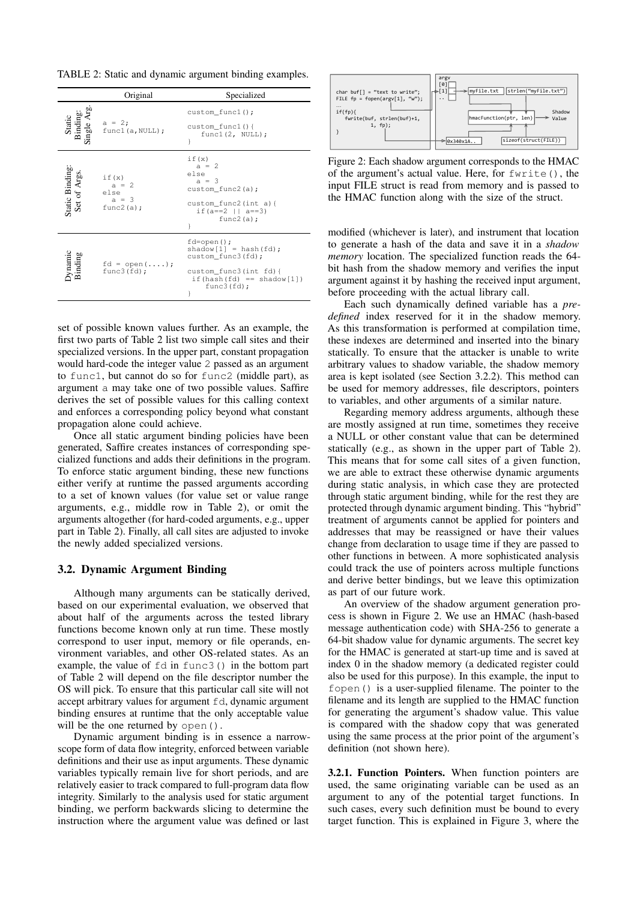<span id="page-4-0"></span>TABLE 2: Static and dynamic argument binding examples.

|                                   | Original                                             | Specialized                                                                                                                                                         |
|-----------------------------------|------------------------------------------------------|---------------------------------------------------------------------------------------------------------------------------------------------------------------------|
| Static<br>Binding:<br>Single Arg. | $a = 2;$<br>func1(a, NULL);                          | custom_func1();<br>custom funcl $()$<br>func1(2, NULL);<br>ł                                                                                                        |
| Static Binding:<br>Set of Args.   | if(x)<br>$a = 2$<br>else<br>$a = 3$<br>func2 $(a)$ ; | if(x)<br>$a = 2$<br>else<br>$a = 3$<br>$\texttt{custom\_func2(a)}$ ;<br>$\text{custom\_func2}(\text{int a})$ {<br>if $(a == 2 \mid   a == 3)$<br>func2 $(a)$ ;<br>ł |
| Dynamic<br>Binding                | $fd = open())$ ;<br>func3(fd);                       | $fd$ =open $()$ ;<br>shadow $[1]$ = hash(fd);<br>custom_func3(fd);<br>custom func3(int fd){<br>if(hash(fd) == shadow[1])<br>func3(fd);<br>ł                         |

set of possible known values further. As an example, the first two parts of Table [2](#page-4-0) list two simple call sites and their specialized versions. In the upper part, constant propagation would hard-code the integer value 2 passed as an argument to func1, but cannot do so for func2 (middle part), as argument a may take one of two possible values. Saffire derives the set of possible values for this calling context and enforces a corresponding policy beyond what constant propagation alone could achieve.

Once all static argument binding policies have been generated, Saffire creates instances of corresponding specialized functions and adds their definitions in the program. To enforce static argument binding, these new functions either verify at runtime the passed arguments according to a set of known values (for value set or value range arguments, e.g., middle row in Table [2\)](#page-4-0), or omit the arguments altogether (for hard-coded arguments, e.g., upper part in Table [2\)](#page-4-0). Finally, all call sites are adjusted to invoke the newly added specialized versions.

#### <span id="page-4-2"></span>3.2. Dynamic Argument Binding

Although many arguments can be statically derived, based on our experimental evaluation, we observed that about half of the arguments across the tested library functions become known only at run time. These mostly correspond to user input, memory or file operands, environment variables, and other OS-related states. As an example, the value of  $fd$  in  $func3()$  in the bottom part of Table [2](#page-4-0) will depend on the file descriptor number the OS will pick. To ensure that this particular call site will not accept arbitrary values for argument  $f d$ , dynamic argument binding ensures at runtime that the only acceptable value will be the one returned by open().

Dynamic argument binding is in essence a narrowscope form of data flow integrity, enforced between variable definitions and their use as input arguments. These dynamic variables typically remain live for short periods, and are relatively easier to track compared to full-program data flow integrity. Similarly to the analysis used for static argument binding, we perform backwards slicing to determine the instruction where the argument value was defined or last

<span id="page-4-1"></span>

Figure 2: Each shadow argument corresponds to the HMAC of the argument's actual value. Here, for fwrite(), the input FILE struct is read from memory and is passed to the HMAC function along with the size of the struct.

modified (whichever is later), and instrument that location to generate a hash of the data and save it in a *shadow memory* location. The specialized function reads the 64 bit hash from the shadow memory and verifies the input argument against it by hashing the received input argument, before proceeding with the actual library call.

Each such dynamically defined variable has a *predefined* index reserved for it in the shadow memory. As this transformation is performed at compilation time, these indexes are determined and inserted into the binary statically. To ensure that the attacker is unable to write arbitrary values to shadow variable, the shadow memory area is kept isolated (see Section [3.2.2\)](#page-5-1). This method can be used for memory addresses, file descriptors, pointers to variables, and other arguments of a similar nature.

Regarding memory address arguments, although these are mostly assigned at run time, sometimes they receive a NULL or other constant value that can be determined statically (e.g., as shown in the upper part of Table [2\)](#page-4-0). This means that for some call sites of a given function, we are able to extract these otherwise dynamic arguments during static analysis, in which case they are protected through static argument binding, while for the rest they are protected through dynamic argument binding. This "hybrid" treatment of arguments cannot be applied for pointers and addresses that may be reassigned or have their values change from declaration to usage time if they are passed to other functions in between. A more sophisticated analysis could track the use of pointers across multiple functions and derive better bindings, but we leave this optimization as part of our future work.

An overview of the shadow argument generation process is shown in Figure [2.](#page-4-1) We use an HMAC (hash-based message authentication code) with SHA-256 to generate a 64-bit shadow value for dynamic arguments. The secret key for the HMAC is generated at start-up time and is saved at index 0 in the shadow memory (a dedicated register could also be used for this purpose). In this example, the input to fopen() is a user-supplied filename. The pointer to the filename and its length are supplied to the HMAC function for generating the argument's shadow value. This value is compared with the shadow copy that was generated using the same process at the prior point of the argument's definition (not shown here).

3.2.1. Function Pointers. When function pointers are used, the same originating variable can be used as an argument to any of the potential target functions. In such cases, every such definition must be bound to every target function. This is explained in Figure [3,](#page-5-2) where the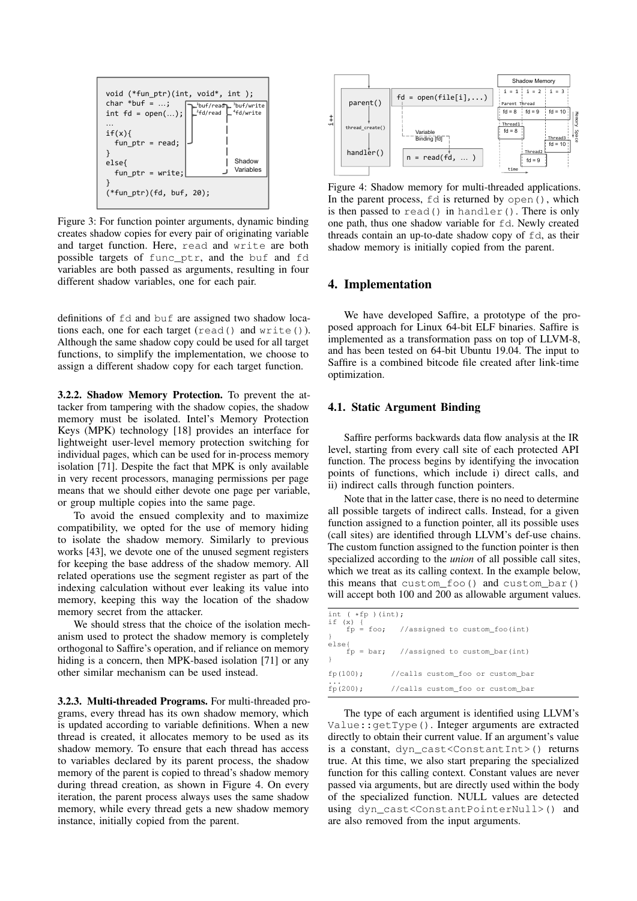<span id="page-5-2"></span>

Figure 3: For function pointer arguments, dynamic binding creates shadow copies for every pair of originating variable and target function. Here, read and write are both possible targets of func\_ptr, and the buf and fd variables are both passed as arguments, resulting in four different shadow variables, one for each pair.

definitions of fd and buf are assigned two shadow locations each, one for each target (read() and write()). Although the same shadow copy could be used for all target functions, to simplify the implementation, we choose to assign a different shadow copy for each target function.

<span id="page-5-1"></span>3.2.2. Shadow Memory Protection. To prevent the attacker from tampering with the shadow copies, the shadow memory must be isolated. Intel's Memory Protection Keys (MPK) technology [\[18\]](#page-14-12) provides an interface for lightweight user-level memory protection switching for individual pages, which can be used for in-process memory isolation [\[71\]](#page-15-18). Despite the fact that MPK is only available in very recent processors, managing permissions per page means that we should either devote one page per variable, or group multiple copies into the same page.

To avoid the ensued complexity and to maximize compatibility, we opted for the use of memory hiding to isolate the shadow memory. Similarly to previous works [\[43\]](#page-14-13), we devote one of the unused segment registers for keeping the base address of the shadow memory. All related operations use the segment register as part of the indexing calculation without ever leaking its value into memory, keeping this way the location of the shadow memory secret from the attacker.

We should stress that the choice of the isolation mechanism used to protect the shadow memory is completely orthogonal to Saffire's operation, and if reliance on memory hiding is a concern, then MPK-based isolation [\[71\]](#page-15-18) or any other similar mechanism can be used instead.

3.2.3. Multi-threaded Programs. For multi-threaded programs, every thread has its own shadow memory, which is updated according to variable definitions. When a new thread is created, it allocates memory to be used as its shadow memory. To ensure that each thread has access to variables declared by its parent process, the shadow memory of the parent is copied to thread's shadow memory during thread creation, as shown in Figure [4.](#page-5-3) On every iteration, the parent process always uses the same shadow memory, while every thread gets a new shadow memory instance, initially copied from the parent.

<span id="page-5-3"></span>

Figure 4: Shadow memory for multi-threaded applications. In the parent process,  $fd$  is returned by open $($ ), which is then passed to read() in handler(). There is only one path, thus one shadow variable for fd. Newly created threads contain an up-to-date shadow copy of  $fd$ , as their shadow memory is initially copied from the parent.

#### 4. Implementation

We have developed Saffire, a prototype of the proposed approach for Linux 64-bit ELF binaries. Saffire is implemented as a transformation pass on top of LLVM-8, and has been tested on 64-bit Ubuntu 19.04. The input to Saffire is a combined bitcode file created after link-time optimization.

#### <span id="page-5-0"></span>4.1. Static Argument Binding

Saffire performs backwards data flow analysis at the IR level, starting from every call site of each protected API function. The process begins by identifying the invocation points of functions, which include i) direct calls, and ii) indirect calls through function pointers.

Note that in the latter case, there is no need to determine all possible targets of indirect calls. Instead, for a given function assigned to a function pointer, all its possible uses (call sites) are identified through LLVM's def-use chains. The custom function assigned to the function pointer is then specialized according to the *union* of all possible call sites, which we treat as its calling context. In the example below, this means that custom\_foo() and custom\_bar() will accept both 100 and 200 as allowable argument values.

| int $(*fp) (int);$<br>if $(x)$ { |                                            |
|----------------------------------|--------------------------------------------|
|                                  | $fp = foo;$ //assigned to custom_foo(int)  |
| else{                            | $fp = bar$ ; //assigned to custom_bar(int) |
| fp(100);                         | //calls custom foo or custom bar           |
| fp(200);                         | //calls custom foo or custom bar           |

The type of each argument is identified using LLVM's Value::getType(). Integer arguments are extracted directly to obtain their current value. If an argument's value is a constant, dyn\_cast<ConstantInt>() returns true. At this time, we also start preparing the specialized function for this calling context. Constant values are never passed via arguments, but are directly used within the body of the specialized function. NULL values are detected using dyn\_cast<ConstantPointerNull>() and are also removed from the input arguments.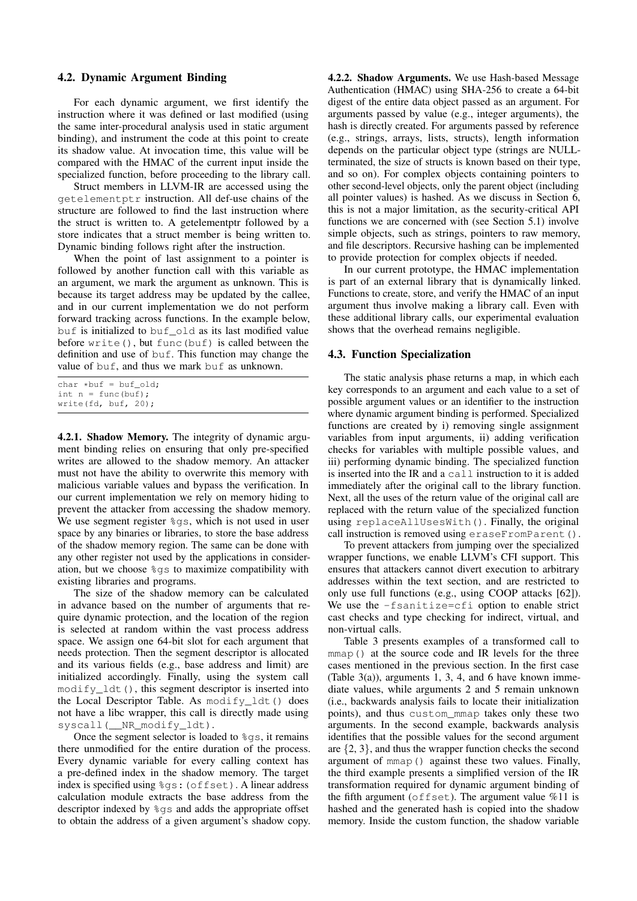#### <span id="page-6-0"></span>4.2. Dynamic Argument Binding

For each dynamic argument, we first identify the instruction where it was defined or last modified (using the same inter-procedural analysis used in static argument binding), and instrument the code at this point to create its shadow value. At invocation time, this value will be compared with the HMAC of the current input inside the specialized function, before proceeding to the library call.

Struct members in LLVM-IR are accessed using the getelementptr instruction. All def-use chains of the structure are followed to find the last instruction where the struct is written to. A getelementptr followed by a store indicates that a struct member is being written to. Dynamic binding follows right after the instruction.

When the point of last assignment to a pointer is followed by another function call with this variable as an argument, we mark the argument as unknown. This is because its target address may be updated by the callee, and in our current implementation we do not perform forward tracking across functions. In the example below, buf is initialized to buf\_old as its last modified value before  $write()$ , but func(buf) is called between the definition and use of buf. This function may change the value of buf, and thus we mark buf as unknown.

```
char *buf = buf old:
int n = \text{func(buf)};
write(fd, buf, 20);
```
4.2.1. Shadow Memory. The integrity of dynamic argument binding relies on ensuring that only pre-specified writes are allowed to the shadow memory. An attacker must not have the ability to overwrite this memory with malicious variable values and bypass the verification. In our current implementation we rely on memory hiding to prevent the attacker from accessing the shadow memory. We use segment register %gs, which is not used in user space by any binaries or libraries, to store the base address of the shadow memory region. The same can be done with any other register not used by the applications in consideration, but we choose %gs to maximize compatibility with existing libraries and programs.

The size of the shadow memory can be calculated in advance based on the number of arguments that require dynamic protection, and the location of the region is selected at random within the vast process address space. We assign one 64-bit slot for each argument that needs protection. Then the segment descriptor is allocated and its various fields (e.g., base address and limit) are initialized accordingly. Finally, using the system call  $modify\_ldt()$ , this segment descriptor is inserted into the Local Descriptor Table. As modify\_ldt() does not have a libc wrapper, this call is directly made using syscall(\_\_NR\_modify\_ldt).

Once the segment selector is loaded to  $\text{ggs}$ , it remains there unmodified for the entire duration of the process. Every dynamic variable for every calling context has a pre-defined index in the shadow memory. The target index is specified using %gs:(offset). A linear address calculation module extracts the base address from the descriptor indexed by %gs and adds the appropriate offset to obtain the address of a given argument's shadow copy.

4.2.2. Shadow Arguments. We use Hash-based Message Authentication (HMAC) using SHA-256 to create a 64-bit digest of the entire data object passed as an argument. For arguments passed by value (e.g., integer arguments), the hash is directly created. For arguments passed by reference (e.g., strings, arrays, lists, structs), length information depends on the particular object type (strings are NULLterminated, the size of structs is known based on their type, and so on). For complex objects containing pointers to other second-level objects, only the parent object (including all pointer values) is hashed. As we discuss in Section [6,](#page-11-0) this is not a major limitation, as the security-critical API functions we are concerned with (see Section [5.1\)](#page-7-0) involve simple objects, such as strings, pointers to raw memory, and file descriptors. Recursive hashing can be implemented to provide protection for complex objects if needed.

In our current prototype, the HMAC implementation is part of an external library that is dynamically linked. Functions to create, store, and verify the HMAC of an input argument thus involve making a library call. Even with these additional library calls, our experimental evaluation shows that the overhead remains negligible.

#### 4.3. Function Specialization

The static analysis phase returns a map, in which each key corresponds to an argument and each value to a set of possible argument values or an identifier to the instruction where dynamic argument binding is performed. Specialized functions are created by i) removing single assignment variables from input arguments, ii) adding verification checks for variables with multiple possible values, and iii) performing dynamic binding. The specialized function is inserted into the IR and a call instruction to it is added immediately after the original call to the library function. Next, all the uses of the return value of the original call are replaced with the return value of the specialized function using replaceAllUsesWith(). Finally, the original call instruction is removed using eraseFromParent().

To prevent attackers from jumping over the specialized wrapper functions, we enable LLVM's CFI support. This ensures that attackers cannot divert execution to arbitrary addresses within the text section, and are restricted to only use full functions (e.g., using COOP attacks [\[62\]](#page-15-6)). We use the -fsanitize=cfi option to enable strict cast checks and type checking for indirect, virtual, and non-virtual calls.

Table [3](#page-7-1) presents examples of a transformed call to mmap() at the source code and IR levels for the three cases mentioned in the previous section. In the first case (Table  $3(a)$  $3(a)$ ), arguments 1, 3, 4, and 6 have known immediate values, while arguments 2 and 5 remain unknown (i.e., backwards analysis fails to locate their initialization points), and thus custom\_mmap takes only these two arguments. In the second example, backwards analysis identifies that the possible values for the second argument are  $\{2, 3\}$ , and thus the wrapper function checks the second argument of mmap() against these two values. Finally, the third example presents a simplified version of the IR transformation required for dynamic argument binding of the fifth argument (offset). The argument value  $%11$  is hashed and the generated hash is copied into the shadow memory. Inside the custom function, the shadow variable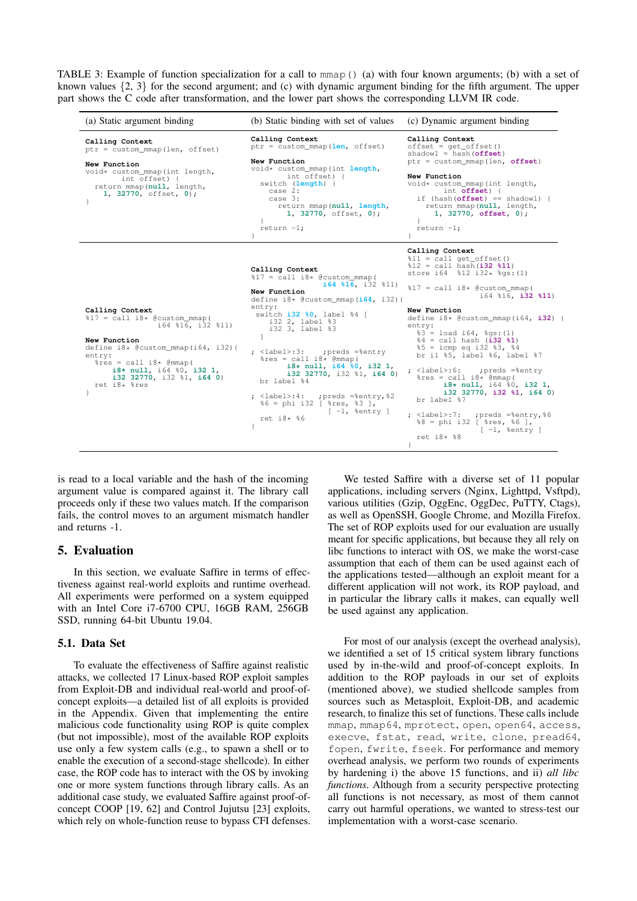<span id="page-7-1"></span>TABLE 3: Example of function specialization for a call to mmap() (a) with four known arguments; (b) with a set of known values  $\{2, 3\}$  for the second argument; and (c) with dynamic argument binding for the fifth argument. The upper part shows the C code after transformation, and the lower part shows the corresponding LLVM IR code.

| (a) Static argument binding                                                                                                                                                                                                                                                                  | (b) Static binding with set of values                                                                                                                                                                                                                                                                                                                                                                                                                                                                                                                                                                                                                                                                       | (c) Dynamic argument binding                                                                                                                                                                                                                                                                                                                                                                                                                                                                                                                                                                                                                                                                                                                                                                                               |
|----------------------------------------------------------------------------------------------------------------------------------------------------------------------------------------------------------------------------------------------------------------------------------------------|-------------------------------------------------------------------------------------------------------------------------------------------------------------------------------------------------------------------------------------------------------------------------------------------------------------------------------------------------------------------------------------------------------------------------------------------------------------------------------------------------------------------------------------------------------------------------------------------------------------------------------------------------------------------------------------------------------------|----------------------------------------------------------------------------------------------------------------------------------------------------------------------------------------------------------------------------------------------------------------------------------------------------------------------------------------------------------------------------------------------------------------------------------------------------------------------------------------------------------------------------------------------------------------------------------------------------------------------------------------------------------------------------------------------------------------------------------------------------------------------------------------------------------------------------|
| Calling Context<br>ptr = custom_mmap(len, offset)<br>New Function<br>void* custom mmap (int length,<br>int offset) {<br>return mmap (null, length,<br>1, 32770, offset, 0);                                                                                                                  | Calling Context<br>ptr = custom_mmap(len, offset)<br>New Function<br>void* custom_mmap(int length,<br>int offset) {<br>switch (length) {<br>case 2:<br>case 3:<br>return mmap (null, length,<br>1, 32770, offset, 0);<br>return $-1$ ;<br>$\mathcal{F}$                                                                                                                                                                                                                                                                                                                                                                                                                                                     | Calling Context<br>$offset = get_offset()$<br>shadowl = hash $(offset)$<br>ptr = custom_mmap(len, offset)<br>New Function<br>void* custom_mmap(int length,<br>int offset) {<br>if (hash( $offset$ ) == shadowl) {<br>return mmap (null, length,<br>1, 32770, offset, 0);<br>return $-1$ ;<br>ł.                                                                                                                                                                                                                                                                                                                                                                                                                                                                                                                            |
| Calling Context<br>$\$17 = \text{call } i8*$ @custom_mmap(<br>i64 %16, i32 %11)<br>New Function<br>define $i8*$ @custom_mmap( $i64$ , $i32$ ){<br>entry:<br>$\text{res} = \text{call } i8* \text{ (mmap)}$<br>$i8*$ null, $i64$ $i0$ , $i32$ 1,<br>i32 32770, i32 %1, i64 0)<br>ret i8* %res | Calling Context<br>$\$17 = \text{call } i8* \text{ {\&} \text{custom\_mmap}}$<br>$i64$ \$16, i32 \$11)<br>New Function<br>define $i8*$ @custom mmap( $i64$ , i32){<br>entry:<br>switch i32 %0, label %4 [<br>i32 2, label %3<br>i32 3, label %3<br>1<br>; <label>:3: ; ; ; ; ; =%entry<br/><math>\text{res} = \text{call } i8* \text{ (mmap)}</math><br/><math>i8*</math> null, <math>i64</math> <math>i0</math>, <math>i32</math> 1,<br/>i32 32770, i32 %1, i64 0)<br/>br label %4<br/>;preds =%entry,%2<br/><math>:</math> <label>:4:<br/><math>6 = phi</math> i32   <math>8res</math>, <math>83</math> ],<br/><math>\lceil -1, \text{ 8entry } \rceil</math><br/>ret <math>i8*</math> %6</label></label> | Calling Context<br>$\$11 = \text{call qet_offset}()$<br>%12 = call hash (i32 %11)<br>store $i64$ $\$12$ $i32*$ $\$qs$ : (1)<br>$\$17 = \text{call } i8* \text{ {\&} \text{custom\_mmap}}($<br>$i64$ \$16, i32 \$11)<br>New Function<br>define $i8*$ @custom_mmap( $i64$ , $i32$ ) {<br>entry:<br>$\$3 =$ load i64, $\$$ qs: (1)<br>$4 = \text{call hash} (i32 81)$<br>$\$5 = i$ cmp eq i32 $\$3$ , $\$4$<br>br il %5, label %6, label %7<br>; <label>:6:<br/>;preds =%entry<br/><math>\text{res} = \text{call } i8* \text{ (mmap)}</math><br/>i8* null, i64 %0, i32 1,<br/>i32 32770, i32 %1, i64 0)<br/>br label %7<br/>; <label>:7:<br/>;preds =%entry,%6<br/><math>88 = \pi i 32</math> [ <math>\text{res}</math>, <math>86</math> ],<br/><math>[-1,</math> \$entry ]<br/>ret <math>i8*</math> %8<br/>}</label></label> |

is read to a local variable and the hash of the incoming argument value is compared against it. The library call proceeds only if these two values match. If the comparison fails, the control moves to an argument mismatch handler and returns -1.

## 5. Evaluation

In this section, we evaluate Saffire in terms of effectiveness against real-world exploits and runtime overhead. All experiments were performed on a system equipped with an Intel Core i7-6700 CPU, 16GB RAM, 256GB SSD, running 64-bit Ubuntu 19.04.

#### <span id="page-7-0"></span>5.1. Data Set

To evaluate the effectiveness of Saffire against realistic attacks, we collected 17 Linux-based ROP exploit samples from Exploit-DB and individual real-world and proof-ofconcept exploits—a detailed list of all exploits is provided in the Appendix. Given that implementing the entire malicious code functionality using ROP is quite complex (but not impossible), most of the available ROP exploits use only a few system calls (e.g., to spawn a shell or to enable the execution of a second-stage shellcode). In either case, the ROP code has to interact with the OS by invoking one or more system functions through library calls. As an additional case study, we evaluated Saffire against proof-ofconcept COOP [\[19,](#page-14-5) [62\]](#page-15-6) and Control Jujutsu [\[23\]](#page-14-3) exploits, which rely on whole-function reuse to bypass CFI defenses.

We tested Saffire with a diverse set of 11 popular applications, including servers (Nginx, Lighttpd, Vsftpd), various utilities (Gzip, OggEnc, OggDec, PuTTY, Ctags), as well as OpenSSH, Google Chrome, and Mozilla Firefox. The set of ROP exploits used for our evaluation are usually meant for specific applications, but because they all rely on libc functions to interact with OS, we make the worst-case assumption that each of them can be used against each of the applications tested—although an exploit meant for a different application will not work, its ROP payload, and in particular the library calls it makes, can equally well be used against any application.

For most of our analysis (except the overhead analysis), we identified a set of 15 critical system library functions used by in-the-wild and proof-of-concept exploits. In addition to the ROP payloads in our set of exploits (mentioned above), we studied shellcode samples from sources such as Metasploit, Exploit-DB, and academic research, to finalize this set of functions. These calls include mmap, mmap64, mprotect, open, open64, access, execve, fstat, read, write, clone, pread64, fopen, fwrite, fseek. For performance and memory overhead analysis, we perform two rounds of experiments by hardening i) the above 15 functions, and ii) *all libc functions*. Although from a security perspective protecting all functions is not necessary, as most of them cannot carry out harmful operations, we wanted to stress-test our implementation with a worst-case scenario.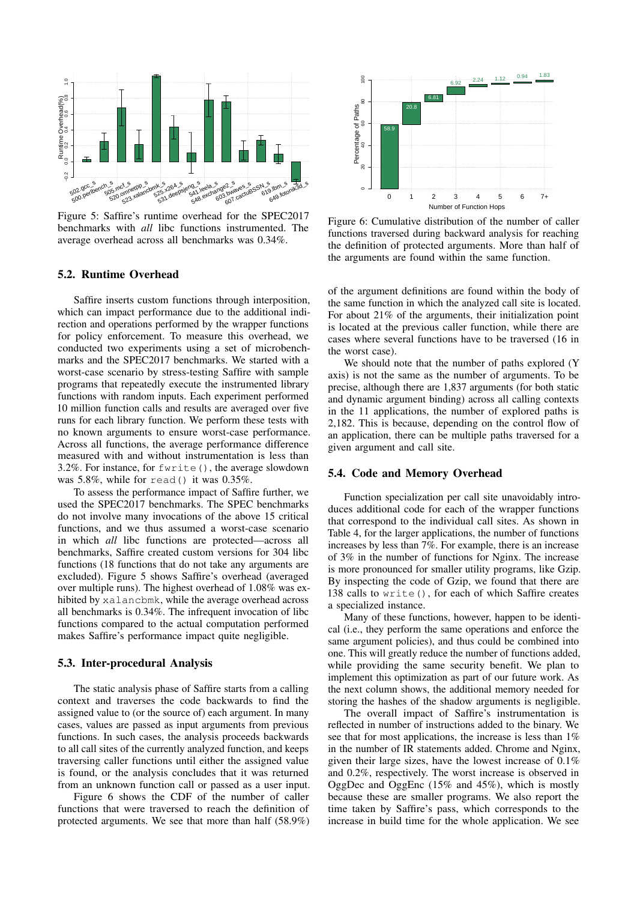<span id="page-8-0"></span>

Figure 5: Saffire's runtime overhead for the SPEC2017 benchmarks with *all* libc functions instrumented. The average overhead across all benchmarks was 0.34%.

#### 5.2. Runtime Overhead

Saffire inserts custom functions through interposition, which can impact performance due to the additional indirection and operations performed by the wrapper functions for policy enforcement. To measure this overhead, we conducted two experiments using a set of microbenchmarks and the SPEC2017 benchmarks. We started with a worst-case scenario by stress-testing Saffire with sample programs that repeatedly execute the instrumented library functions with random inputs. Each experiment performed 10 million function calls and results are averaged over five runs for each library function. We perform these tests with no known arguments to ensure worst-case performance. Across all functions, the average performance difference measured with and without instrumentation is less than 3.2%. For instance, for fwrite(), the average slowdown was 5.8%, while for read() it was 0.35%.

To assess the performance impact of Saffire further, we used the SPEC2017 benchmarks. The SPEC benchmarks do not involve many invocations of the above 15 critical functions, and we thus assumed a worst-case scenario in which *all* libc functions are protected—across all benchmarks, Saffire created custom versions for 304 libc functions (18 functions that do not take any arguments are excluded). Figure [5](#page-8-0) shows Saffire's overhead (averaged over multiple runs). The highest overhead of 1.08% was exhibited by xalancbmk, while the average overhead across all benchmarks is 0.34%. The infrequent invocation of libc functions compared to the actual computation performed makes Saffire's performance impact quite negligible.

#### 5.3. Inter-procedural Analysis

The static analysis phase of Saffire starts from a calling context and traverses the code backwards to find the assigned value to (or the source of) each argument. In many cases, values are passed as input arguments from previous functions. In such cases, the analysis proceeds backwards to all call sites of the currently analyzed function, and keeps traversing caller functions until either the assigned value is found, or the analysis concludes that it was returned from an unknown function call or passed as a user input.

Figure [6](#page-8-1) shows the CDF of the number of caller functions that were traversed to reach the definition of protected arguments. We see that more than half (58.9%)

<span id="page-8-1"></span>

Figure 6: Cumulative distribution of the number of caller functions traversed during backward analysis for reaching the definition of protected arguments. More than half of the arguments are found within the same function.

of the argument definitions are found within the body of the same function in which the analyzed call site is located. For about 21% of the arguments, their initialization point is located at the previous caller function, while there are cases where several functions have to be traversed (16 in the worst case).

We should note that the number of paths explored (Y axis) is not the same as the number of arguments. To be precise, although there are 1,837 arguments (for both static and dynamic argument binding) across all calling contexts in the 11 applications, the number of explored paths is 2,182. This is because, depending on the control flow of an application, there can be multiple paths traversed for a given argument and call site.

#### <span id="page-8-2"></span>5.4. Code and Memory Overhead

Function specialization per call site unavoidably introduces additional code for each of the wrapper functions that correspond to the individual call sites. As shown in Table [4,](#page-9-0) for the larger applications, the number of functions increases by less than 7%. For example, there is an increase of 3% in the number of functions for Nginx. The increase is more pronounced for smaller utility programs, like Gzip. By inspecting the code of Gzip, we found that there are 138 calls to write(), for each of which Saffire creates a specialized instance.

Many of these functions, however, happen to be identical (i.e., they perform the same operations and enforce the same argument policies), and thus could be combined into one. This will greatly reduce the number of functions added, while providing the same security benefit. We plan to implement this optimization as part of our future work. As the next column shows, the additional memory needed for storing the hashes of the shadow arguments is negligible.

The overall impact of Saffire's instrumentation is reflected in number of instructions added to the binary. We see that for most applications, the increase is less than  $1\%$ in the number of IR statements added. Chrome and Nginx, given their large sizes, have the lowest increase of 0.1% and 0.2%, respectively. The worst increase is observed in OggDec and OggEnc (15% and 45%), which is mostly because these are smaller programs. We also report the time taken by Saffire's pass, which corresponds to the increase in build time for the whole application. We see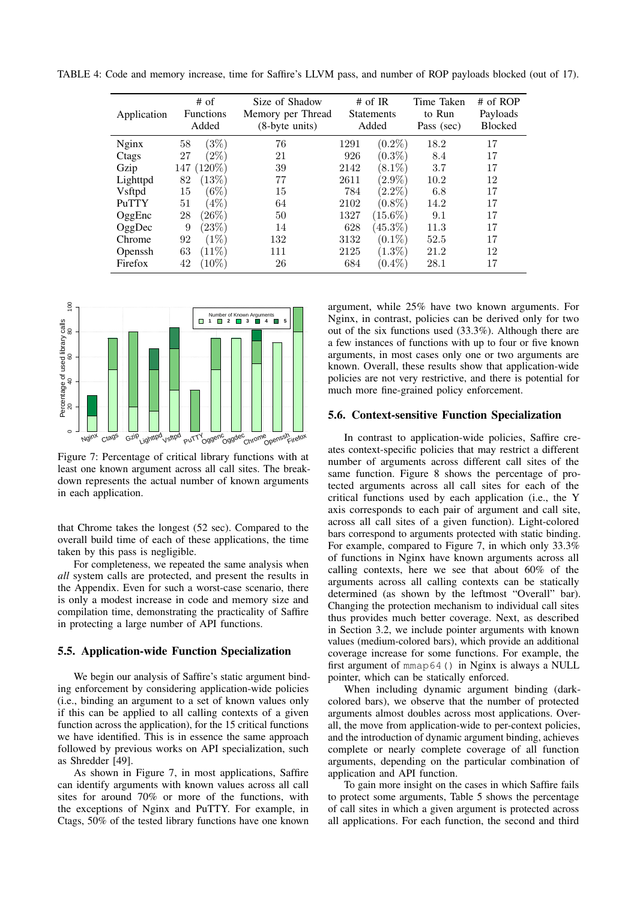| Application | $#$ of<br><b>Functions</b><br>Added |           | Size of Shadow<br>Memory per Thread<br>$(8-byte units)$ | # of IR<br><b>Statements</b><br>Added |            | Time Taken<br>to Run<br>Pass (sec) | $#$ of ROP<br>Payloads<br><b>Blocked</b> |
|-------------|-------------------------------------|-----------|---------------------------------------------------------|---------------------------------------|------------|------------------------------------|------------------------------------------|
| Nginx       | 58                                  | (3%)      | 76                                                      | 1291                                  | $(0.2\%)$  | 18.2                               | 17                                       |
| Ctags       | 27                                  | $(2\%)$   | 21                                                      | 926                                   | $(0.3\%)$  | 8.4                                | 17                                       |
| Gzip        | 147                                 | $(120\%)$ | 39                                                      | 2142                                  | $(8.1\%)$  | 3.7                                | 17                                       |
| Lighttpd    | 82                                  | (13%)     | 77                                                      | 2611                                  | $(2.9\%)$  | 10.2                               | 12                                       |
| Vsftpd      | 15                                  | $(6\%)$   | 15                                                      | 784                                   | $(2.2\%)$  | 6.8                                | 17                                       |
| PuTTY       | 51                                  | (4%)      | 64                                                      | 2102                                  | $(0.8\%)$  | 14.2                               | 17                                       |
| OggEnc      | 28                                  | (26%)     | 50                                                      | 1327                                  | $(15.6\%)$ | 9.1                                | 17                                       |
| OggDec      | 9                                   | $(23\%)$  | 14                                                      | 628                                   | $(45.3\%)$ | 11.3                               | 17                                       |
| Chrome      | 92                                  | (1%)      | 132                                                     | 3132                                  | $(0.1\%)$  | 52.5                               | 17                                       |
| Openssh     | 63                                  | $(11\%)$  | 111                                                     | 2125                                  | $(1.3\%)$  | 21.2                               | 12                                       |
| Firefox     | 42                                  | $(10\%)$  | 26                                                      | 684                                   | $(0.4\%)$  | 28.1                               | 17                                       |

<span id="page-9-0"></span>TABLE 4: Code and memory increase, time for Saffire's LLVM pass, and number of ROP payloads blocked (out of 17).

<span id="page-9-1"></span>

Figure 7: Percentage of critical library functions with at least one known argument across all call sites. The breakdown represents the actual number of known arguments in each application.

that Chrome takes the longest (52 sec). Compared to the overall build time of each of these applications, the time taken by this pass is negligible.

For completeness, we repeated the same analysis when *all* system calls are protected, and present the results in the Appendix. Even for such a worst-case scenario, there is only a modest increase in code and memory size and compilation time, demonstrating the practicality of Saffire in protecting a large number of API functions.

## 5.5. Application-wide Function Specialization

We begin our analysis of Saffire's static argument binding enforcement by considering application-wide policies (i.e., binding an argument to a set of known values only if this can be applied to all calling contexts of a given function across the application), for the 15 critical functions we have identified. This is in essence the same approach followed by previous works on API specialization, such as Shredder [\[49\]](#page-15-10).

As shown in Figure [7,](#page-9-1) in most applications, Saffire can identify arguments with known values across all call sites for around 70% or more of the functions, with the exceptions of Nginx and PuTTY. For example, in Ctags, 50% of the tested library functions have one known argument, while 25% have two known arguments. For Nginx, in contrast, policies can be derived only for two out of the six functions used (33.3%). Although there are a few instances of functions with up to four or five known arguments, in most cases only one or two arguments are known. Overall, these results show that application-wide policies are not very restrictive, and there is potential for much more fine-grained policy enforcement.

#### 5.6. Context-sensitive Function Specialization

In contrast to application-wide policies, Saffire creates context-specific policies that may restrict a different number of arguments across different call sites of the same function. Figure [8](#page-10-0) shows the percentage of protected arguments across all call sites for each of the critical functions used by each application (i.e., the Y axis corresponds to each pair of argument and call site, across all call sites of a given function). Light-colored bars correspond to arguments protected with static binding. For example, compared to Figure [7,](#page-9-1) in which only 33.3% of functions in Nginx have known arguments across all calling contexts, here we see that about 60% of the arguments across all calling contexts can be statically determined (as shown by the leftmost "Overall" bar). Changing the protection mechanism to individual call sites thus provides much better coverage. Next, as described in Section [3.2,](#page-4-2) we include pointer arguments with known values (medium-colored bars), which provide an additional coverage increase for some functions. For example, the first argument of mmap64() in Nginx is always a NULL pointer, which can be statically enforced.

When including dynamic argument binding (darkcolored bars), we observe that the number of protected arguments almost doubles across most applications. Overall, the move from application-wide to per-context policies, and the introduction of dynamic argument binding, achieves complete or nearly complete coverage of all function arguments, depending on the particular combination of application and API function.

To gain more insight on the cases in which Saffire fails to protect some arguments, Table [5](#page-11-1) shows the percentage of call sites in which a given argument is protected across all applications. For each function, the second and third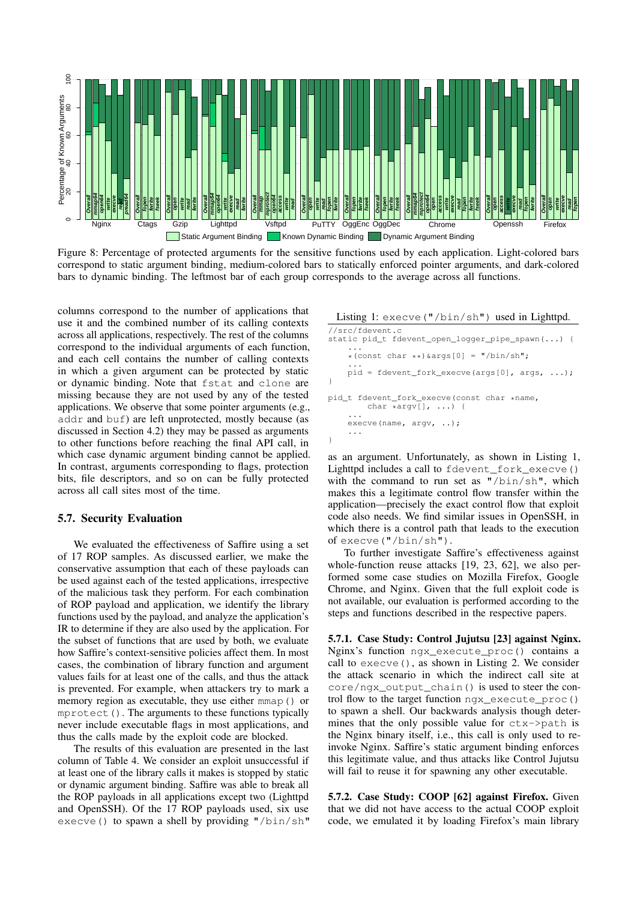<span id="page-10-0"></span>

Figure 8: Percentage of protected arguments for the sensitive functions used by each application. Light-colored bars correspond to static argument binding, medium-colored bars to statically enforced pointer arguments, and dark-colored bars to dynamic binding. The leftmost bar of each group corresponds to the average across all functions.

columns correspond to the number of applications that use it and the combined number of its calling contexts across all applications, respectively. The rest of the columns correspond to the individual arguments of each function, and each cell contains the number of calling contexts in which a given argument can be protected by static or dynamic binding. Note that fstat and clone are missing because they are not used by any of the tested applications. We observe that some pointer arguments (e.g., addr and buf) are left unprotected, mostly because (as discussed in Section [4.2\)](#page-6-0) they may be passed as arguments to other functions before reaching the final API call, in which case dynamic argument binding cannot be applied. In contrast, arguments corresponding to flags, protection bits, file descriptors, and so on can be fully protected across all call sites most of the time.

#### 5.7. Security Evaluation

We evaluated the effectiveness of Saffire using a set of 17 ROP samples. As discussed earlier, we make the conservative assumption that each of these payloads can be used against each of the tested applications, irrespective of the malicious task they perform. For each combination of ROP payload and application, we identify the library functions used by the payload, and analyze the application's IR to determine if they are also used by the application. For the subset of functions that are used by both, we evaluate how Saffire's context-sensitive policies affect them. In most cases, the combination of library function and argument values fails for at least one of the calls, and thus the attack is prevented. For example, when attackers try to mark a memory region as executable, they use either mmap() or mprotect(). The arguments to these functions typically never include executable flags in most applications, and thus the calls made by the exploit code are blocked.

The results of this evaluation are presented in the last column of Table [4.](#page-9-0) We consider an exploit unsuccessful if at least one of the library calls it makes is stopped by static or dynamic argument binding. Saffire was able to break all the ROP payloads in all applications except two (Lighttpd and OpenSSH). Of the 17 ROP payloads used, six use execve() to spawn a shell by providing "/bin/sh" <span id="page-10-1"></span>Listing 1: execve("/bin/sh") used in Lighttpd.

```
//src/fdevent.c
static pid_t fdevent_open_logger_pipe_spawn(...) {
    ...
*(const char **)&args[0] = "/bin/sh";
    ...
pid = fdevent_fork_execve(args[0], args, ...);
}
pid_t fdevent_fork_execve(const char *name,
        char *argv[], ...) {
    ...
    execve(name, argv, ..);
    ...
}
```
as an argument. Unfortunately, as shown in Listing [1,](#page-10-1) Lighttpd includes a call to fdevent\_fork\_execve() with the command to run set as "/bin/sh", which makes this a legitimate control flow transfer within the application—precisely the exact control flow that exploit code also needs. We find similar issues in OpenSSH, in which there is a control path that leads to the execution of execve("/bin/sh").

To further investigate Saffire's effectiveness against whole-function reuse attacks [\[19,](#page-14-5) [23,](#page-14-3) [62\]](#page-15-6), we also performed some case studies on Mozilla Firefox, Google Chrome, and Nginx. Given that the full exploit code is not available, our evaluation is performed according to the steps and functions described in the respective papers.

5.7.1. Case Study: Control Jujutsu [\[23\]](#page-14-3) against Nginx. Nginx's function ngx\_execute\_proc() contains a call to execve(), as shown in Listing [2.](#page-11-2) We consider the attack scenario in which the indirect call site at core/ngx\_output\_chain() is used to steer the control flow to the target function  $ngx$  execute  $proc()$ to spawn a shell. Our backwards analysis though determines that the only possible value for ctx->path is the Nginx binary itself, i.e., this call is only used to reinvoke Nginx. Saffire's static argument binding enforces this legitimate value, and thus attacks like Control Jujutsu will fail to reuse it for spawning any other executable.

5.7.2. Case Study: COOP [\[62\]](#page-15-6) against Firefox. Given that we did not have access to the actual COOP exploit code, we emulated it by loading Firefox's main library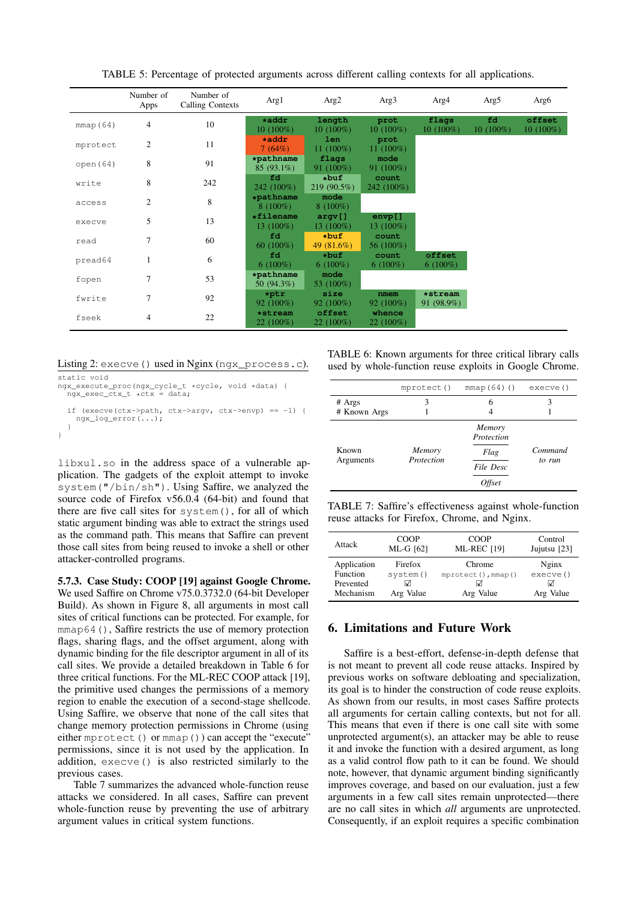<span id="page-11-1"></span>

|          | Number of<br>Apps | Number of<br>Calling Contexts | Arg1                        | Arg2                     | Arg3                   | Arg4                  | Arg5              | Arg6                  |
|----------|-------------------|-------------------------------|-----------------------------|--------------------------|------------------------|-----------------------|-------------------|-----------------------|
| mmap(64) | 4                 | 10                            | $\star$ addr<br>$10(100\%)$ | length<br>$10(100\%)$    | prot<br>$10(100\%)$    | flags<br>10 (100%)    | fd<br>$10(100\%)$ | offset<br>$10(100\%)$ |
| mprotect | $\overline{c}$    | 11                            | $*addr$<br>7(64%)           | len.<br>11 $(100\%)$     | prot<br>11 $(100\%)$   |                       |                   |                       |
| open(64) | 8                 | 91                            | *pathname<br>$85(93.1\%)$   | flags<br>91 $(100\%)$    | mode<br>$91(100\%)$    |                       |                   |                       |
| write    | 8                 | 242                           | fd<br>242 (100%)            | $*$ buf<br>219 (90.5%)   | count<br>242 (100%)    |                       |                   |                       |
| access   | $\overline{c}$    | 8                             | *pathname<br>$8(100\%)$     | mode<br>$8(100\%)$       |                        |                       |                   |                       |
| execve   | 5                 | 13                            | *filename<br>13 $(100\%)$   | argv[]<br>13 $(100\%)$   | $envp$ []<br>13 (100%) |                       |                   |                       |
| read     | 7                 | 60                            | fd<br>60 $(100\%)$          | $*$ buf<br>49 $(81.6\%)$ | count<br>56 (100%)     |                       |                   |                       |
| pread64  |                   | 6                             | fd<br>$6(100\%)$            | *buf<br>$6(100\%)$       | count<br>$6(100\%)$    | offset<br>$6(100\%)$  |                   |                       |
| fopen    | 7                 | 53                            | *pathname<br>50 $(94.3\%)$  | mode<br>53 (100%)        |                        |                       |                   |                       |
| fwrite   | 7                 | 92                            | $*ptr$<br>$92(100\%)$       | size<br>$92(100\%)$      | nmem<br>$92(100\%)$    | *stream<br>91 (98.9%) |                   |                       |
| fseek    | $\overline{4}$    | 22                            | *stream<br>22 (100%)        | offset<br>$22(100\%)$    | whence<br>$22(100\%)$  |                       |                   |                       |

TABLE 5: Percentage of protected arguments across different calling contexts for all applications.

#### <span id="page-11-2"></span>Listing 2: execve() used in Nginx (ngx\_process.c).

```
static void
ngx_execute_proc(ngx_cycle_t *cycle, void *data) {
ngx_exec_ctx_t *ctx = data;
  if (execve(ctx->path, ctx->argv, ctx->envp) == -1) {
    ngx_log_error(...);
  }
}
```
libxul.so in the address space of a vulnerable application. The gadgets of the exploit attempt to invoke system("/bin/sh"). Using Saffire, we analyzed the source code of Firefox v56.0.4 (64-bit) and found that there are five call sites for system(), for all of which static argument binding was able to extract the strings used as the command path. This means that Saffire can prevent those call sites from being reused to invoke a shell or other attacker-controlled programs.

5.7.3. Case Study: COOP [\[19\]](#page-14-5) against Google Chrome. We used Saffire on Chrome v75.0.3732.0 (64-bit Developer Build). As shown in Figure [8,](#page-10-0) all arguments in most call sites of critical functions can be protected. For example, for mmap64(), Saffire restricts the use of memory protection flags, sharing flags, and the offset argument, along with dynamic binding for the file descriptor argument in all of its call sites. We provide a detailed breakdown in Table [6](#page-11-3) for three critical functions. For the ML-REC COOP attack [\[19\]](#page-14-5), the primitive used changes the permissions of a memory region to enable the execution of a second-stage shellcode. Using Saffire, we observe that none of the call sites that change memory protection permissions in Chrome (using either mprotect() or mmap()) can accept the "execute" permissions, since it is not used by the application. In addition, execve() is also restricted similarly to the previous cases.

Table [7](#page-11-4) summarizes the advanced whole-function reuse attacks we considered. In all cases, Saffire can prevent whole-function reuse by preventing the use of arbitrary argument values in critical system functions.

<span id="page-11-3"></span>TABLE 6: Known arguments for three critical library calls used by whole-function reuse exploits in Google Chrome.

|                        | mprotect()           | $mmap(64)$ ()                                       | execve()          |
|------------------------|----------------------|-----------------------------------------------------|-------------------|
| # Args<br># Known Args | 3                    | 6                                                   |                   |
| Known<br>Arguments     | Memory<br>Protection | Memory<br>Protection<br>Flag<br>File Desc<br>Offset | Command<br>to run |

<span id="page-11-4"></span>TABLE 7: Saffire's effectiveness against whole-function reuse attacks for Firefox, Chrome, and Nginx.

| Attack                 | <b>COOP</b>    | <b>COOP</b>        | Control      |
|------------------------|----------------|--------------------|--------------|
|                        | ML-G [62]      | <b>ML-REC [19]</b> | Jujutsu [23] |
| Application            | Firefox        | Chrome             | Nginx        |
| Function               | system()       | mprotect(), mmap() | execve()     |
| Prevented<br>Mechanism | ☑<br>Arg Value | Arg Value          | Arg Value    |

# <span id="page-11-0"></span>6. Limitations and Future Work

Saffire is a best-effort, defense-in-depth defense that is not meant to prevent all code reuse attacks. Inspired by previous works on software debloating and specialization, its goal is to hinder the construction of code reuse exploits. As shown from our results, in most cases Saffire protects all arguments for certain calling contexts, but not for all. This means that even if there is one call site with some unprotected argument(s), an attacker may be able to reuse it and invoke the function with a desired argument, as long as a valid control flow path to it can be found. We should note, however, that dynamic argument binding significantly improves coverage, and based on our evaluation, just a few arguments in a few call sites remain unprotected—there are no call sites in which *all* arguments are unprotected. Consequently, if an exploit requires a specific combination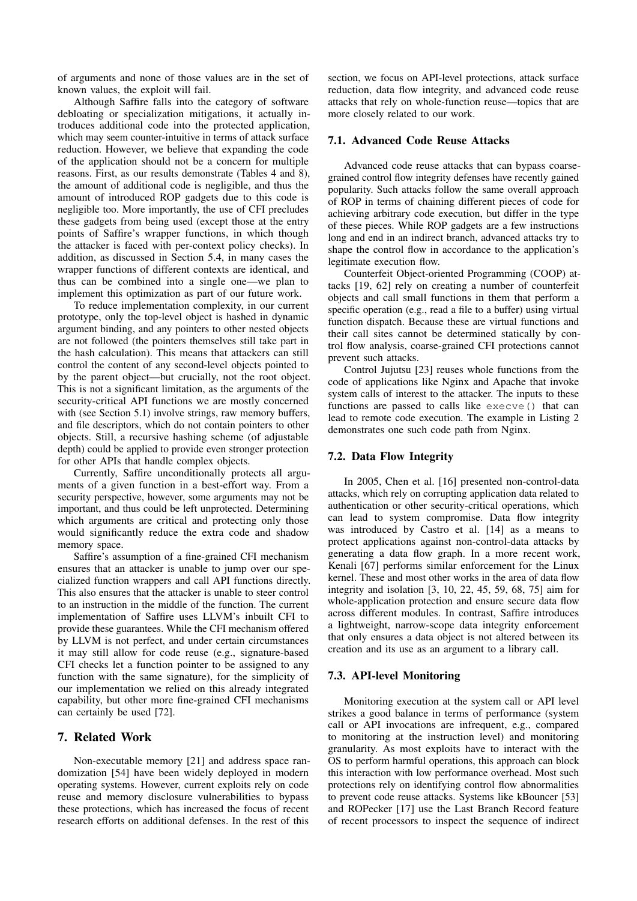of arguments and none of those values are in the set of known values, the exploit will fail.

Although Saffire falls into the category of software debloating or specialization mitigations, it actually introduces additional code into the protected application, which may seem counter-intuitive in terms of attack surface reduction. However, we believe that expanding the code of the application should not be a concern for multiple reasons. First, as our results demonstrate (Tables [4](#page-9-0) and [8\)](#page-16-0), the amount of additional code is negligible, and thus the amount of introduced ROP gadgets due to this code is negligible too. More importantly, the use of CFI precludes these gadgets from being used (except those at the entry points of Saffire's wrapper functions, in which though the attacker is faced with per-context policy checks). In addition, as discussed in Section [5.4,](#page-8-2) in many cases the wrapper functions of different contexts are identical, and thus can be combined into a single one—we plan to implement this optimization as part of our future work.

To reduce implementation complexity, in our current prototype, only the top-level object is hashed in dynamic argument binding, and any pointers to other nested objects are not followed (the pointers themselves still take part in the hash calculation). This means that attackers can still control the content of any second-level objects pointed to by the parent object—but crucially, not the root object. This is not a significant limitation, as the arguments of the security-critical API functions we are mostly concerned with (see Section [5.1\)](#page-7-0) involve strings, raw memory buffers, and file descriptors, which do not contain pointers to other objects. Still, a recursive hashing scheme (of adjustable depth) could be applied to provide even stronger protection for other APIs that handle complex objects.

Currently, Saffire unconditionally protects all arguments of a given function in a best-effort way. From a security perspective, however, some arguments may not be important, and thus could be left unprotected. Determining which arguments are critical and protecting only those would significantly reduce the extra code and shadow memory space.

Saffire's assumption of a fine-grained CFI mechanism ensures that an attacker is unable to jump over our specialized function wrappers and call API functions directly. This also ensures that the attacker is unable to steer control to an instruction in the middle of the function. The current implementation of Saffire uses LLVM's inbuilt CFI to provide these guarantees. While the CFI mechanism offered by LLVM is not perfect, and under certain circumstances it may still allow for code reuse (e.g., signature-based CFI checks let a function pointer to be assigned to any function with the same signature), for the simplicity of our implementation we relied on this already integrated capability, but other more fine-grained CFI mechanisms can certainly be used [\[72\]](#page-15-19).

## 7. Related Work

Non-executable memory [\[21\]](#page-14-14) and address space randomization [\[54\]](#page-15-0) have been widely deployed in modern operating systems. However, current exploits rely on code reuse and memory disclosure vulnerabilities to bypass these protections, which has increased the focus of recent research efforts on additional defenses. In the rest of this

section, we focus on API-level protections, attack surface reduction, data flow integrity, and advanced code reuse attacks that rely on whole-function reuse—topics that are more closely related to our work.

#### 7.1. Advanced Code Reuse Attacks

Advanced code reuse attacks that can bypass coarsegrained control flow integrity defenses have recently gained popularity. Such attacks follow the same overall approach of ROP in terms of chaining different pieces of code for achieving arbitrary code execution, but differ in the type of these pieces. While ROP gadgets are a few instructions long and end in an indirect branch, advanced attacks try to shape the control flow in accordance to the application's legitimate execution flow.

Counterfeit Object-oriented Programming (COOP) attacks [\[19,](#page-14-5) [62\]](#page-15-6) rely on creating a number of counterfeit objects and call small functions in them that perform a specific operation (e.g., read a file to a buffer) using virtual function dispatch. Because these are virtual functions and their call sites cannot be determined statically by control flow analysis, coarse-grained CFI protections cannot prevent such attacks.

Control Jujutsu [\[23\]](#page-14-3) reuses whole functions from the code of applications like Nginx and Apache that invoke system calls of interest to the attacker. The inputs to these functions are passed to calls like execve() that can lead to remote code execution. The example in Listing [2](#page-11-2) demonstrates one such code path from Nginx.

#### 7.2. Data Flow Integrity

In 2005, Chen et al. [\[16\]](#page-14-15) presented non-control-data attacks, which rely on corrupting application data related to authentication or other security-critical operations, which can lead to system compromise. Data flow integrity was introduced by Castro et al. [\[14\]](#page-14-16) as a means to protect applications against non-control-data attacks by generating a data flow graph. In a more recent work, Kenali [\[67\]](#page-15-20) performs similar enforcement for the Linux kernel. These and most other works in the area of data flow integrity and isolation [\[3,](#page-13-2) [10,](#page-14-17) [22,](#page-14-18) [45,](#page-15-21) [59,](#page-15-22) [68,](#page-15-23) [75\]](#page-15-24) aim for whole-application protection and ensure secure data flow across different modules. In contrast, Saffire introduces a lightweight, narrow-scope data integrity enforcement that only ensures a data object is not altered between its creation and its use as an argument to a library call.

#### 7.3. API-level Monitoring

Monitoring execution at the system call or API level strikes a good balance in terms of performance (system call or API invocations are infrequent, e.g., compared to monitoring at the instruction level) and monitoring granularity. As most exploits have to interact with the OS to perform harmful operations, this approach can block this interaction with low performance overhead. Most such protections rely on identifying control flow abnormalities to prevent code reuse attacks. Systems like kBouncer [\[53\]](#page-15-17) and ROPecker [\[17\]](#page-14-19) use the Last Branch Record feature of recent processors to inspect the sequence of indirect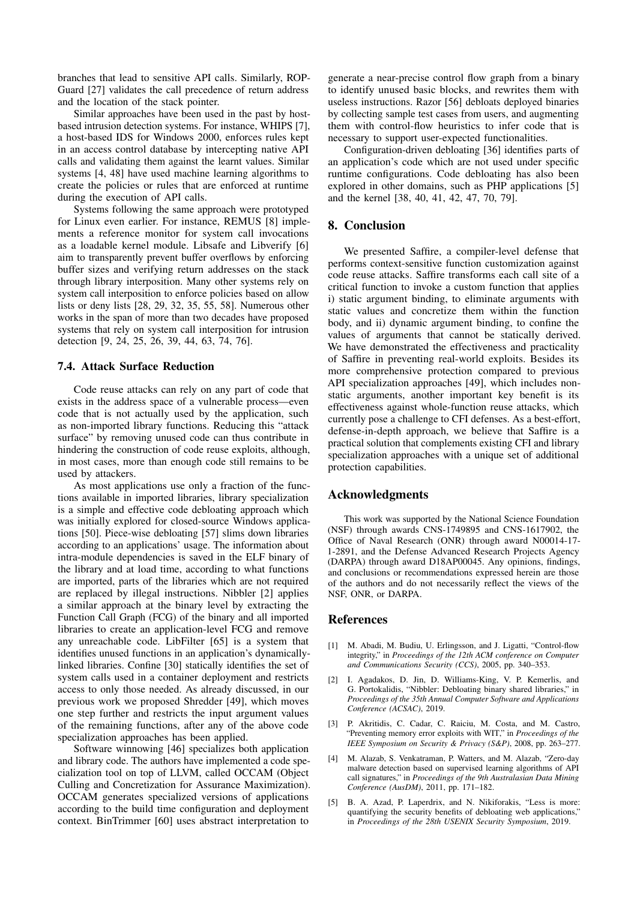branches that lead to sensitive API calls. Similarly, ROP-Guard [\[27\]](#page-14-20) validates the call precedence of return address and the location of the stack pointer.

Similar approaches have been used in the past by hostbased intrusion detection systems. For instance, WHIPS [\[7\]](#page-14-21), a host-based IDS for Windows 2000, enforces rules kept in an access control database by intercepting native API calls and validating them against the learnt values. Similar systems [\[4,](#page-13-3) [48\]](#page-15-25) have used machine learning algorithms to create the policies or rules that are enforced at runtime during the execution of API calls.

Systems following the same approach were prototyped for Linux even earlier. For instance, REMUS [\[8\]](#page-14-22) implements a reference monitor for system call invocations as a loadable kernel module. Libsafe and Libverify [\[6\]](#page-14-23) aim to transparently prevent buffer overflows by enforcing buffer sizes and verifying return addresses on the stack through library interposition. Many other systems rely on system call interposition to enforce policies based on allow lists or deny lists [\[28,](#page-14-24) [29,](#page-14-25) [32,](#page-14-26) [35,](#page-14-27) [55,](#page-15-26) [58\]](#page-15-27). Numerous other works in the span of more than two decades have proposed systems that rely on system call interposition for intrusion detection [\[9,](#page-14-28) [24,](#page-14-29) [25,](#page-14-30) [26,](#page-14-31) [39,](#page-14-32) [44,](#page-15-28) [63,](#page-15-29) [74,](#page-15-30) [76\]](#page-15-31).

#### 7.4. Attack Surface Reduction

Code reuse attacks can rely on any part of code that exists in the address space of a vulnerable process—even code that is not actually used by the application, such as non-imported library functions. Reducing this "attack surface" by removing unused code can thus contribute in hindering the construction of code reuse exploits, although, in most cases, more than enough code still remains to be used by attackers.

As most applications use only a fraction of the functions available in imported libraries, library specialization is a simple and effective code debloating approach which was initially explored for closed-source Windows applications [\[50\]](#page-15-11). Piece-wise debloating [\[57\]](#page-15-12) slims down libraries according to an applications' usage. The information about intra-module dependencies is saved in the ELF binary of the library and at load time, according to what functions are imported, parts of the libraries which are not required are replaced by illegal instructions. Nibbler [\[2\]](#page-13-1) applies a similar approach at the binary level by extracting the Function Call Graph (FCG) of the binary and all imported libraries to create an application-level FCG and remove any unreachable code. LibFilter [\[65\]](#page-15-32) is a system that identifies unused functions in an application's dynamicallylinked libraries. Confine [\[30\]](#page-14-33) statically identifies the set of system calls used in a container deployment and restricts access to only those needed. As already discussed, in our previous work we proposed Shredder [\[49\]](#page-15-10), which moves one step further and restricts the input argument values of the remaining functions, after any of the above code specialization approaches has been applied.

Software winnowing [\[46\]](#page-15-8) specializes both application and library code. The authors have implemented a code specialization tool on top of LLVM, called OCCAM (Object Culling and Concretization for Assurance Maximization). OCCAM generates specialized versions of applications according to the build time configuration and deployment context. BinTrimmer [\[60\]](#page-15-33) uses abstract interpretation to

generate a near-precise control flow graph from a binary to identify unused basic blocks, and rewrites them with useless instructions. Razor [\[56\]](#page-15-34) debloats deployed binaries by collecting sample test cases from users, and augmenting them with control-flow heuristics to infer code that is necessary to support user-expected functionalities.

Configuration-driven debloating [\[36\]](#page-14-34) identifies parts of an application's code which are not used under specific runtime configurations. Code debloating has also been explored in other domains, such as PHP applications [\[5\]](#page-13-4) and the kernel [\[38,](#page-14-35) [40,](#page-14-36) [41,](#page-14-37) [42,](#page-14-9) [47,](#page-15-9) [70,](#page-15-35) [79\]](#page-15-16).

# 8. Conclusion

We presented Saffire, a compiler-level defense that performs context-sensitive function customization against code reuse attacks. Saffire transforms each call site of a critical function to invoke a custom function that applies i) static argument binding, to eliminate arguments with static values and concretize them within the function body, and ii) dynamic argument binding, to confine the values of arguments that cannot be statically derived. We have demonstrated the effectiveness and practicality of Saffire in preventing real-world exploits. Besides its more comprehensive protection compared to previous API specialization approaches [\[49\]](#page-15-10), which includes nonstatic arguments, another important key benefit is its effectiveness against whole-function reuse attacks, which currently pose a challenge to CFI defenses. As a best-effort, defense-in-depth approach, we believe that Saffire is a practical solution that complements existing CFI and library specialization approaches with a unique set of additional protection capabilities.

## Acknowledgments

This work was supported by the National Science Foundation (NSF) through awards CNS-1749895 and CNS-1617902, the Office of Naval Research (ONR) through award N00014-17- 1-2891, and the Defense Advanced Research Projects Agency (DARPA) through award D18AP00045. Any opinions, findings, and conclusions or recommendations expressed herein are those of the authors and do not necessarily reflect the views of the NSF, ONR, or DARPA.

## References

- <span id="page-13-0"></span>M. Abadi, M. Budiu, U. Erlingsson, and J. Ligatti, "Control-flow integrity," in *Proceedings of the 12th ACM conference on Computer and Communications Security (CCS)*, 2005, pp. 340–353.
- <span id="page-13-1"></span>[2] I. Agadakos, D. Jin, D. Williams-King, V. P. Kemerlis, and G. Portokalidis, "Nibbler: Debloating binary shared libraries," in *Proceedings of the 35th Annual Computer Software and Applications Conference (ACSAC)*, 2019.
- <span id="page-13-2"></span>[3] P. Akritidis, C. Cadar, C. Raiciu, M. Costa, and M. Castro, "Preventing memory error exploits with WIT," in *Proceedings of the IEEE Symposium on Security & Privacy (S&P)*, 2008, pp. 263–277.
- <span id="page-13-3"></span>[4] M. Alazab, S. Venkatraman, P. Watters, and M. Alazab, "Zero-day malware detection based on supervised learning algorithms of API call signatures," in *Proceedings of the 9th Australasian Data Mining Conference (AusDM)*, 2011, pp. 171–182.
- <span id="page-13-4"></span>[5] B. A. Azad, P. Laperdrix, and N. Nikiforakis, "Less is more: quantifying the security benefits of debloating web applications," in *Proceedings of the 28th USENIX Security Symposium*, 2019.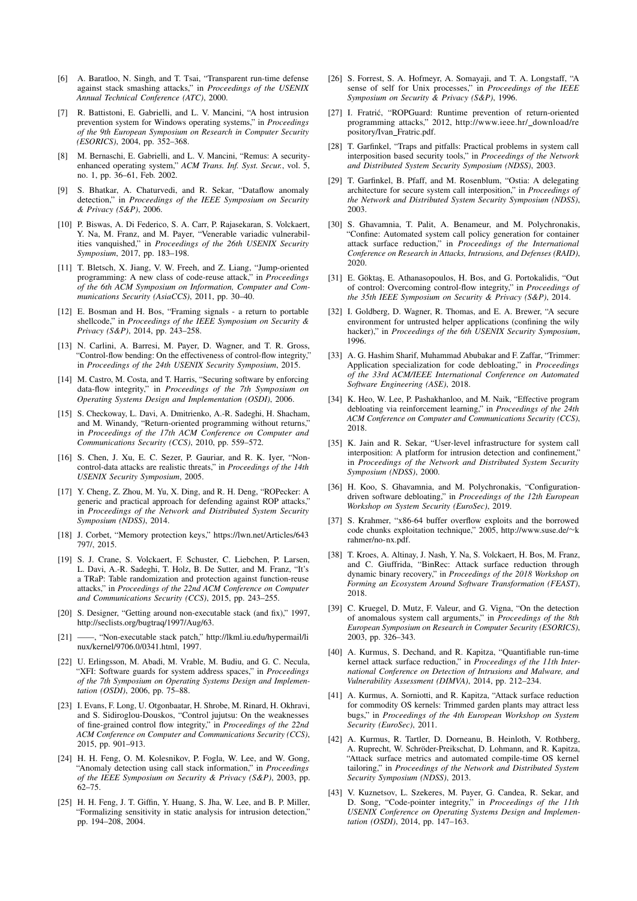- <span id="page-14-23"></span>[6] A. Baratloo, N. Singh, and T. Tsai, "Transparent run-time defense against stack smashing attacks," in *Proceedings of the USENIX Annual Technical Conference (ATC)*, 2000.
- <span id="page-14-21"></span>[7] R. Battistoni, E. Gabrielli, and L. V. Mancini, "A host intrusion prevention system for Windows operating systems," in *Proceedings of the 9th European Symposium on Research in Computer Security (ESORICS)*, 2004, pp. 352–368.
- <span id="page-14-22"></span>[8] M. Bernaschi, E. Gabrielli, and L. V. Mancini, "Remus: A securityenhanced operating system," *ACM Trans. Inf. Syst. Secur.*, vol. 5, no. 1, pp. 36–61, Feb. 2002.
- <span id="page-14-28"></span>[9] S. Bhatkar, A. Chaturvedi, and R. Sekar, "Dataflow anomaly detection," in *Proceedings of the IEEE Symposium on Security & Privacy (S&P)*, 2006.
- <span id="page-14-17"></span>[10] P. Biswas, A. Di Federico, S. A. Carr, P. Rajasekaran, S. Volckaert, Y. Na, M. Franz, and M. Payer, "Venerable variadic vulnerabilities vanquished," in *Proceedings of the 26th USENIX Security Symposium*, 2017, pp. 183–198.
- <span id="page-14-10"></span>[11] T. Bletsch, X. Jiang, V. W. Freeh, and Z. Liang, "Jump-oriented programming: A new class of code-reuse attack," in *Proceedings of the 6th ACM Symposium on Information, Computer and Communications Security (AsiaCCS)*, 2011, pp. 30–40.
- <span id="page-14-6"></span>[12] E. Bosman and H. Bos, "Framing signals - a return to portable shellcode," in *Proceedings of the IEEE Symposium on Security & Privacy (S&P)*, 2014, pp. 243–258.
- <span id="page-14-2"></span>[13] N. Carlini, A. Barresi, M. Payer, D. Wagner, and T. R. Gross, "Control-flow bending: On the effectiveness of control-flow integrity," in *Proceedings of the 24th USENIX Security Symposium*, 2015.
- <span id="page-14-16"></span>[14] M. Castro, M. Costa, and T. Harris, "Securing software by enforcing data-flow integrity," in *Proceedings of the 7th Symposium on Operating Systems Design and Implementation (OSDI)*, 2006.
- <span id="page-14-11"></span>[15] S. Checkoway, L. Davi, A. Dmitrienko, A.-R. Sadeghi, H. Shacham, and M. Winandy, "Return-oriented programming without returns," in *Proceedings of the 17th ACM Conference on Computer and Communications Security (CCS)*, 2010, pp. 559–572.
- <span id="page-14-15"></span>[16] S. Chen, J. Xu, E. C. Sezer, P. Gauriar, and R. K. Iyer, "Noncontrol-data attacks are realistic threats," in *Proceedings of the 14th USENIX Security Symposium*, 2005.
- <span id="page-14-19"></span>[17] Y. Cheng, Z. Zhou, M. Yu, X. Ding, and R. H. Deng, "ROPecker: A generic and practical approach for defending against ROP attacks," in *Proceedings of the Network and Distributed System Security Symposium (NDSS)*, 2014.
- <span id="page-14-12"></span>[18] J. Corbet, "Memory protection keys," [https://lwn.net/Articles/643](https://lwn.net/Articles/643797/) [797/,](https://lwn.net/Articles/643797/) 2015.
- <span id="page-14-5"></span>[19] S. J. Crane, S. Volckaert, F. Schuster, C. Liebchen, P. Larsen, L. Davi, A.-R. Sadeghi, T. Holz, B. De Sutter, and M. Franz, "It's a TRaP: Table randomization and protection against function-reuse attacks," in *Proceedings of the 22nd ACM Conference on Computer and Communications Security (CCS)*, 2015, pp. 243–255.
- <span id="page-14-0"></span>[20] S. Designer, "Getting around non-executable stack (and fix)," 1997, [http://seclists.org/bugtraq/1997/Aug/63.](http://seclists.org/bugtraq/1997/Aug/63)
- <span id="page-14-14"></span>[21] ——, "Non-executable stack patch," [http://lkml.iu.edu/hypermail/li](http://lkml.iu.edu/hypermail/linux/kernel/9706.0/0341.html) [nux/kernel/9706.0/0341.html,](http://lkml.iu.edu/hypermail/linux/kernel/9706.0/0341.html) 1997.
- <span id="page-14-18"></span>[22] U. Erlingsson, M. Abadi, M. Vrable, M. Budiu, and G. C. Necula, "XFI: Software guards for system address spaces," in *Proceedings of the 7th Symposium on Operating Systems Design and Implementation (OSDI)*, 2006, pp. 75–88.
- <span id="page-14-3"></span>[23] I. Evans, F. Long, U. Otgonbaatar, H. Shrobe, M. Rinard, H. Okhravi, and S. Sidiroglou-Douskos, "Control jujutsu: On the weaknesses of fine-grained control flow integrity," in *Proceedings of the 22nd ACM Conference on Computer and Communications Security (CCS)*, 2015, pp. 901–913.
- <span id="page-14-29"></span>[24] H. H. Feng, O. M. Kolesnikov, P. Fogla, W. Lee, and W. Gong, "Anomaly detection using call stack information," in *Proceedings of the IEEE Symposium on Security & Privacy (S&P)*, 2003, pp. 62–75.
- <span id="page-14-30"></span>[25] H. H. Feng, J. T. Giffin, Y. Huang, S. Jha, W. Lee, and B. P. Miller, "Formalizing sensitivity in static analysis for intrusion detection," pp. 194–208, 2004.
- <span id="page-14-31"></span>[26] S. Forrest, S. A. Hofmeyr, A. Somayaji, and T. A. Longstaff, "A sense of self for Unix processes," in *Proceedings of the IEEE Symposium on Security & Privacy (S&P)*, 1996.
- <span id="page-14-20"></span>[27] I. Fratrić, "ROPGuard: Runtime prevention of return-oriented programming attacks," 2012, [http://www.ieee.hr/](http://www.ieee.hr/_download/repository/Ivan_Fratric.pdf) download/re [pository/Ivan](http://www.ieee.hr/_download/repository/Ivan_Fratric.pdf)\_Fratric.pdf.
- <span id="page-14-24"></span>[28] T. Garfinkel, "Traps and pitfalls: Practical problems in system call interposition based security tools," in *Proceedings of the Network and Distributed System Security Symposium (NDSS)*, 2003.
- <span id="page-14-25"></span>[29] T. Garfinkel, B. Pfaff, and M. Rosenblum, "Ostia: A delegating architecture for secure system call interposition," in *Proceedings of the Network and Distributed System Security Symposium (NDSS)*, 2003.
- <span id="page-14-33"></span>[30] S. Ghavamnia, T. Palit, A. Benameur, and M. Polychronakis, "Confine: Automated system call policy generation for container attack surface reduction," in *Proceedings of the International Conference on Research in Attacks, Intrusions, and Defenses (RAID)*, 2020.
- <span id="page-14-4"></span>[31] E. Göktaş, E. Athanasopoulos, H. Bos, and G. Portokalidis, "Out of control: Overcoming control-flow integrity," in *Proceedings of the 35th IEEE Symposium on Security & Privacy (S&P)*, 2014.
- <span id="page-14-26"></span>[32] I. Goldberg, D. Wagner, R. Thomas, and E. A. Brewer, "A secure environment for untrusted helper applications (confining the wily hacker)," in *Proceedings of the 6th USENIX Security Symposium*, 1996.
- <span id="page-14-7"></span>[33] A. G. Hashim Sharif, Muhammad Abubakar and F. Zaffar, "Trimmer: Application specialization for code debloating," in *Proceedings of the 33rd ACM/IEEE International Conference on Automated Software Engineering (ASE)*, 2018.
- <span id="page-14-8"></span>[34] K. Heo, W. Lee, P. Pashakhanloo, and M. Naik, "Effective program debloating via reinforcement learning," in *Proceedings of the 24th ACM Conference on Computer and Communications Security (CCS)*, 2018.
- <span id="page-14-27"></span>[35] K. Jain and R. Sekar, "User-level infrastructure for system call interposition: A platform for intrusion detection and confinement," in *Proceedings of the Network and Distributed System Security Symposium (NDSS)*, 2000.
- <span id="page-14-34"></span>[36] H. Koo, S. Ghavamnia, and M. Polychronakis, "Configurationdriven software debloating," in *Proceedings of the 12th European Workshop on System Security (EuroSec)*, 2019.
- <span id="page-14-1"></span>[37] S. Krahmer, "x86-64 buffer overflow exploits and the borrowed code chunks exploitation technique," 2005, [http://www.suse.de/](http://www.suse.de/~krahmer/no-nx.pdf)∼k [rahmer/no-nx.pdf.](http://www.suse.de/~krahmer/no-nx.pdf)
- <span id="page-14-35"></span>[38] T. Kroes, A. Altinay, J. Nash, Y. Na, S. Volckaert, H. Bos, M. Franz, and C. Giuffrida, "BinRec: Attack surface reduction through dynamic binary recovery," in *Proceedings of the 2018 Workshop on Forming an Ecosystem Around Software Transformation (FEAST)*, 2018.
- <span id="page-14-32"></span>[39] C. Kruegel, D. Mutz, F. Valeur, and G. Vigna, "On the detection of anomalous system call arguments," in *Proceedings of the 8th European Symposium on Research in Computer Security (ESORICS)*, 2003, pp. 326–343.
- <span id="page-14-36"></span>[40] A. Kurmus, S. Dechand, and R. Kapitza, "Quantifiable run-time kernel attack surface reduction," in *Proceedings of the 11th International Conference on Detection of Intrusions and Malware, and Vulnerability Assessment (DIMVA)*, 2014, pp. 212–234.
- <span id="page-14-37"></span>[41] A. Kurmus, A. Sorniotti, and R. Kapitza, "Attack surface reduction for commodity OS kernels: Trimmed garden plants may attract less bugs," in *Proceedings of the 4th European Workshop on System Security (EuroSec)*, 2011.
- <span id="page-14-9"></span>[42] A. Kurmus, R. Tartler, D. Dorneanu, B. Heinloth, V. Rothberg, A. Ruprecht, W. Schröder-Preikschat, D. Lohmann, and R. Kapitza, "Attack surface metrics and automated compile-time OS kernel tailoring," in *Proceedings of the Network and Distributed System Security Symposium (NDSS)*, 2013.
- <span id="page-14-13"></span>[43] V. Kuznetsov, L. Szekeres, M. Payer, G. Candea, R. Sekar, and D. Song, "Code-pointer integrity," in *Proceedings of the 11th USENIX Conference on Operating Systems Design and Implementation (OSDI)*, 2014, pp. 147–163.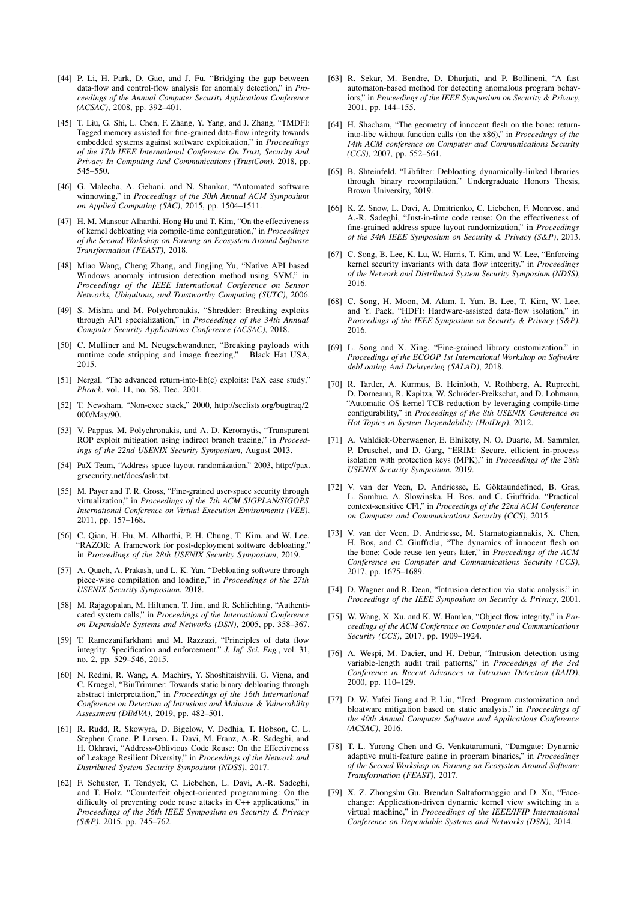- <span id="page-15-28"></span>[44] P. Li, H. Park, D. Gao, and J. Fu, "Bridging the gap between data-flow and control-flow analysis for anomaly detection," in *Proceedings of the Annual Computer Security Applications Conference (ACSAC)*, 2008, pp. 392–401.
- <span id="page-15-21"></span>[45] T. Liu, G. Shi, L. Chen, F. Zhang, Y. Yang, and J. Zhang, "TMDFI: Tagged memory assisted for fine-grained data-flow integrity towards embedded systems against software exploitation," in *Proceedings of the 17th IEEE International Conference On Trust, Security And Privacy In Computing And Communications (TrustCom)*, 2018, pp. 545–550.
- <span id="page-15-8"></span>[46] G. Malecha, A. Gehani, and N. Shankar, "Automated software winnowing," in *Proceedings of the 30th Annual ACM Symposium on Applied Computing (SAC)*, 2015, pp. 1504–1511.
- <span id="page-15-9"></span>[47] H. M. Mansour Alharthi, Hong Hu and T. Kim, "On the effectiveness of kernel debloating via compile-time configuration," in *Proceedings of the Second Workshop on Forming an Ecosystem Around Software Transformation (FEAST)*, 2018.
- <span id="page-15-25"></span>[48] Miao Wang, Cheng Zhang, and Jingjing Yu, "Native API based Windows anomaly intrusion detection method using SVM," in *Proceedings of the IEEE International Conference on Sensor Networks, Ubiquitous, and Trustworthy Computing (SUTC)*, 2006.
- <span id="page-15-10"></span>[49] S. Mishra and M. Polychronakis, "Shredder: Breaking exploits through API specialization," in *Proceedings of the 34th Annual Computer Security Applications Conference (ACSAC)*, 2018.
- <span id="page-15-11"></span>[50] C. Mulliner and M. Neugschwandtner, "Breaking payloads with runtime code stripping and image freezing." Black Hat USA, 2015.
- <span id="page-15-1"></span>[51] Nergal, "The advanced return-into-lib(c) exploits: PaX case study," *Phrack*, vol. 11, no. 58, Dec. 2001.
- <span id="page-15-2"></span>[52] T. Newsham, "Non-exec stack," 2000, [http://seclists.org/bugtraq/2](http://seclists.org/bugtraq/2000/May/90) [000/May/90.](http://seclists.org/bugtraq/2000/May/90)
- <span id="page-15-17"></span>[53] V. Pappas, M. Polychronakis, and A. D. Keromytis, "Transparent ROP exploit mitigation using indirect branch tracing," in *Proceedings of the 22nd USENIX Security Symposium*, August 2013.
- <span id="page-15-0"></span>[54] PaX Team, "Address space layout randomization," 2003, [http://pax.](http://pax.grsecurity.net/docs/aslr.txt) [grsecurity.net/docs/aslr.txt.](http://pax.grsecurity.net/docs/aslr.txt)
- <span id="page-15-26"></span>[55] M. Payer and T. R. Gross, "Fine-grained user-space security through virtualization," in *Proceedings of the 7th ACM SIGPLAN/SIGOPS International Conference on Virtual Execution Environments (VEE)*, 2011, pp. 157–168.
- <span id="page-15-34"></span>[56] C. Qian, H. Hu, M. Alharthi, P. H. Chung, T. Kim, and W. Lee, "RAZOR: A framework for post-deployment software debloating, in *Proceedings of the 28th USENIX Security Symposium*, 2019.
- <span id="page-15-12"></span>[57] A. Quach, A. Prakash, and L. K. Yan, "Debloating software through piece-wise compilation and loading," in *Proceedings of the 27th USENIX Security Symposium*, 2018.
- <span id="page-15-27"></span>[58] M. Rajagopalan, M. Hiltunen, T. Jim, and R. Schlichting, "Authenticated system calls," in *Proceedings of the International Conference on Dependable Systems and Networks (DSN)*, 2005, pp. 358–367.
- <span id="page-15-22"></span>[59] T. Ramezanifarkhani and M. Razzazi, "Principles of data flow integrity: Specification and enforcement." *J. Inf. Sci. Eng.*, vol. 31, no. 2, pp. 529–546, 2015.
- <span id="page-15-33"></span>[60] N. Redini, R. Wang, A. Machiry, Y. Shoshitaishvili, G. Vigna, and C. Kruegel, "BinTrimmer: Towards static binary debloating through abstract interpretation," in *Proceedings of the 16th International Conference on Detection of Intrusions and Malware & Vulnerability Assessment (DIMVA)*, 2019, pp. 482–501.
- <span id="page-15-7"></span>[61] R. Rudd, R. Skowyra, D. Bigelow, V. Dedhia, T. Hobson, C. L. Stephen Crane, P. Larsen, L. Davi, M. Franz, A.-R. Sadeghi, and H. Okhravi, "Address-Oblivious Code Reuse: On the Effectiveness of Leakage Resilient Diversity," in *Proceedings of the Network and Distributed System Security Symposium (NDSS)*, 2017.
- <span id="page-15-6"></span>[62] F. Schuster, T. Tendyck, C. Liebchen, L. Davi, A.-R. Sadeghi, and T. Holz, "Counterfeit object-oriented programming: On the difficulty of preventing code reuse attacks in C++ applications," in *Proceedings of the 36th IEEE Symposium on Security & Privacy (S&P)*, 2015, pp. 745–762.
- <span id="page-15-29"></span>[63] R. Sekar, M. Bendre, D. Dhurjati, and P. Bollineni, "A fast automaton-based method for detecting anomalous program behaviors," in *Proceedings of the IEEE Symposium on Security & Privacy*, 2001, pp. 144–155.
- <span id="page-15-3"></span>[64] H. Shacham, "The geometry of innocent flesh on the bone: returninto-libc without function calls (on the x86)," in *Proceedings of the 14th ACM conference on Computer and Communications Security (CCS)*, 2007, pp. 552–561.
- <span id="page-15-32"></span>[65] B. Shteinfeld, "Libfilter: Debloating dynamically-linked libraries through binary recompilation," Undergraduate Honors Thesis, Brown University, 2019.
- <span id="page-15-4"></span>[66] K. Z. Snow, L. Davi, A. Dmitrienko, C. Liebchen, F. Monrose, and A.-R. Sadeghi, "Just-in-time code reuse: On the effectiveness of fine-grained address space layout randomization," in *Proceedings of the 34th IEEE Symposium on Security & Privacy (S&P)*, 2013.
- <span id="page-15-20"></span>[67] C. Song, B. Lee, K. Lu, W. Harris, T. Kim, and W. Lee, "Enforcing kernel security invariants with data flow integrity." in *Proceedings of the Network and Distributed System Security Symposium (NDSS)*, 2016.
- <span id="page-15-23"></span>[68] C. Song, H. Moon, M. Alam, I. Yun, B. Lee, T. Kim, W. Lee, and Y. Paek, "HDFI: Hardware-assisted data-flow isolation," in *Proceedings of the IEEE Symposium on Security & Privacy (S&P)*, 2016.
- <span id="page-15-13"></span>[69] L. Song and X. Xing, "Fine-grained library customization," in *Proceedings of the ECOOP 1st International Workshop on SoftwAre debLoating And Delayering (SALAD)*, 2018.
- <span id="page-15-35"></span>[70] R. Tartler, A. Kurmus, B. Heinloth, V. Rothberg, A. Ruprecht, D. Dorneanu, R. Kapitza, W. Schröder-Preikschat, and D. Lohmann, "Automatic OS kernel TCB reduction by leveraging compile-time configurability," in *Proceedings of the 8th USENIX Conference on Hot Topics in System Dependability (HotDep)*, 2012.
- <span id="page-15-18"></span>[71] A. Vahldiek-Oberwagner, E. Elnikety, N. O. Duarte, M. Sammler, P. Druschel, and D. Garg, "ERIM: Secure, efficient in-process isolation with protection keys (MPK)," in *Proceedings of the 28th USENIX Security Symposium*, 2019.
- <span id="page-15-19"></span>[72] V. van der Veen, D. Andriesse, E. Göktaundefined, B. Gras, L. Sambuc, A. Slowinska, H. Bos, and C. Giuffrida, "Practical context-sensitive CFI," in *Proceedings of the 22nd ACM Conference on Computer and Communications Security (CCS)*, 2015.
- <span id="page-15-5"></span>[73] V. van der Veen, D. Andriesse, M. Stamatogiannakis, X. Chen, H. Bos, and C. Giuffrdia, "The dynamics of innocent flesh on the bone: Code reuse ten years later," in *Proceedings of the ACM Conference on Computer and Communications Security (CCS)*, 2017, pp. 1675–1689.
- <span id="page-15-30"></span>[74] D. Wagner and R. Dean, "Intrusion detection via static analysis," in *Proceedings of the IEEE Symposium on Security & Privacy*, 2001.
- <span id="page-15-24"></span>[75] W. Wang, X. Xu, and K. W. Hamlen, "Object flow integrity," in *Proceedings of the ACM Conference on Computer and Communications Security (CCS)*, 2017, pp. 1909–1924.
- <span id="page-15-31"></span>[76] A. Wespi, M. Dacier, and H. Debar, "Intrusion detection using variable-length audit trail patterns," in *Proceedings of the 3rd Conference in Recent Advances in Intrusion Detection (RAID)*, 2000, pp. 110–129.
- <span id="page-15-14"></span>[77] D. W. Yufei Jiang and P. Liu, "Jred: Program customization and bloatware mitigation based on static analysis," in *Proceedings of the 40th Annual Computer Software and Applications Conference (ACSAC)*, 2016.
- <span id="page-15-15"></span>[78] T. L. Yurong Chen and G. Venkataramani, "Damgate: Dynamic adaptive multi-feature gating in program binaries," in *Proceedings of the Second Workshop on Forming an Ecosystem Around Software Transformation (FEAST)*, 2017.
- <span id="page-15-16"></span>[79] X. Z. Zhongshu Gu, Brendan Saltaformaggio and D. Xu, "Facechange: Application-driven dynamic kernel view switching in a virtual machine," in *Proceedings of the IEEE/IFIP International Conference on Dependable Systems and Networks (DSN)*, 2014.